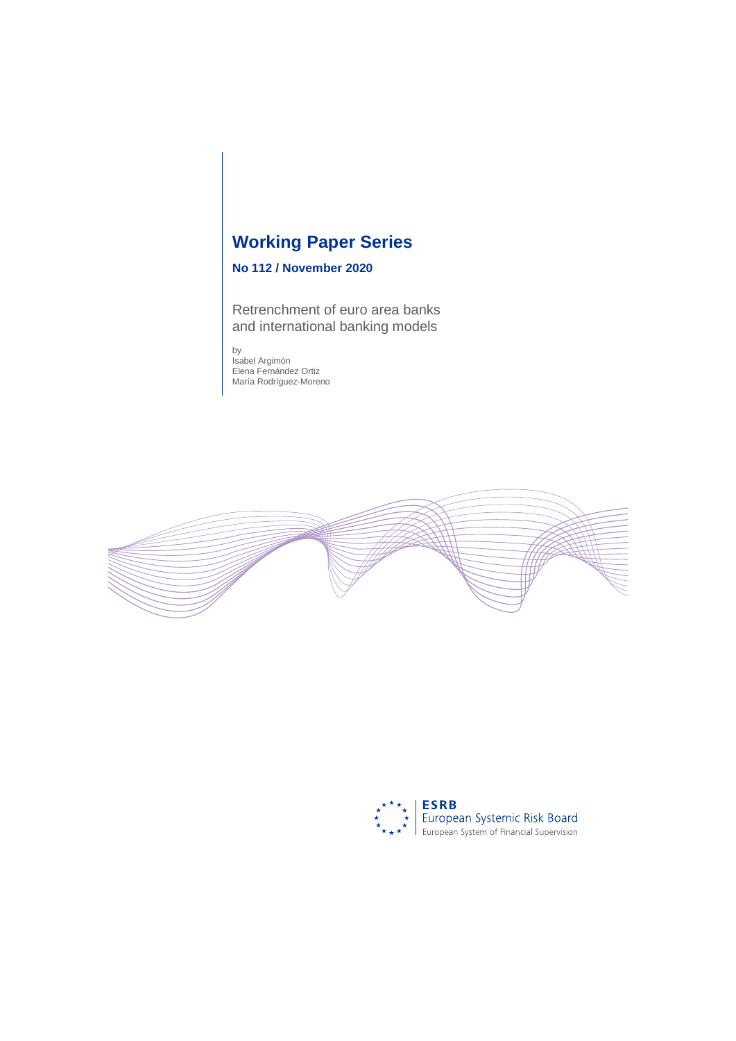# **Working Paper Series**

# **No 112 / November 2020**

Retrenchment of euro area banks and international banking models

by Isabel Argimón Elena Fernández Ortiz María Rodríguez-Moreno



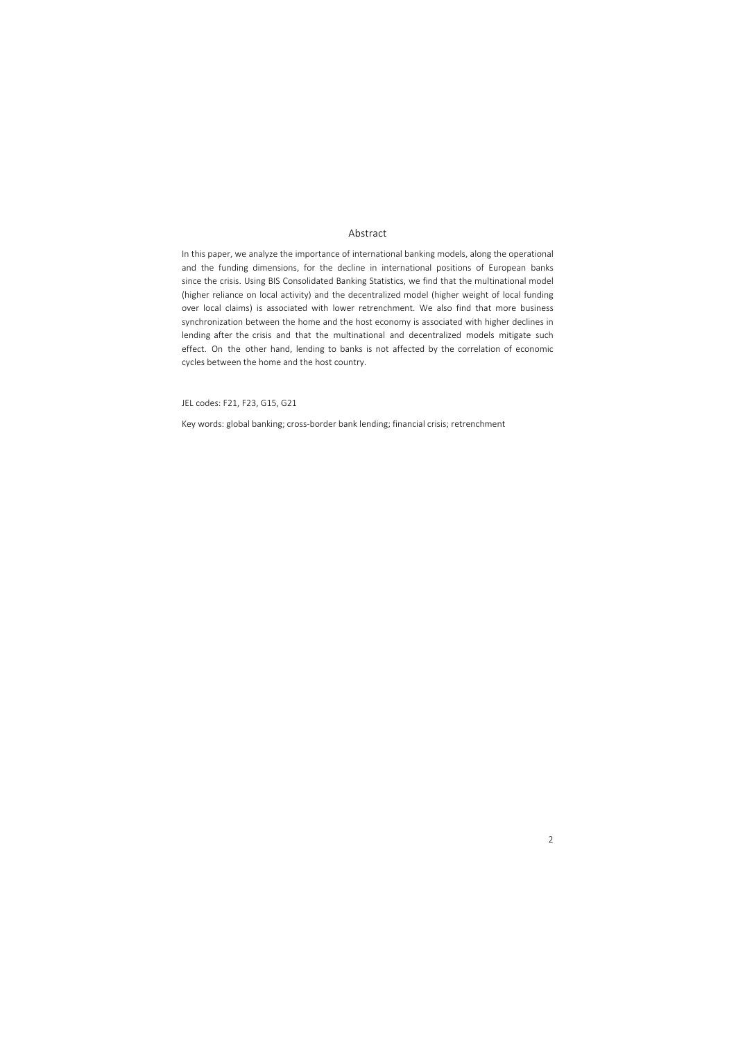### Abstract

In this paper, we analyze the importance of international banking models, along the operational and the funding dimensions, for the decline in international positions of European banks since the crisis. Using BIS Consolidated Banking Statistics, we find that the multinational model (higher reliance on local activity) and the decentralized model (higher weight of local funding over local claims) is associated with lower retrenchment. We also find that more business synchronization between the home and the host economy is associated with higher declines in lending after the crisis and that the multinational and decentralized models mitigate such effect. On the other hand, lending to banks is not affected by the correlation of economic cycles between the home and the host country.

JEL codes: F21, F23, G15, G21

Key words: global banking; cross-border bank lending; financial crisis; retrenchment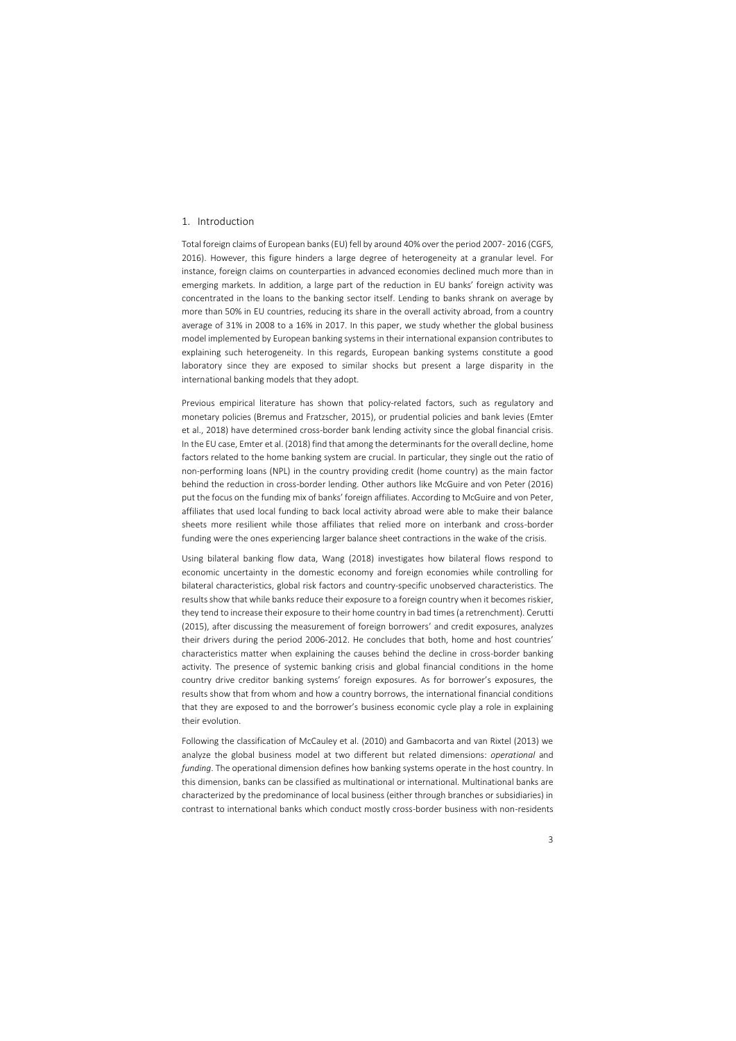## 1. Introduction

Total foreign claims of European banks(EU) fell by around 40% over the period 2007- 2016 (CGFS, 2016). However, this figure hinders a large degree of heterogeneity at a granular level. For instance, foreign claims on counterparties in advanced economies declined much more than in emerging markets. In addition, a large part of the reduction in EU banks' foreign activity was concentrated in the loans to the banking sector itself. Lending to banks shrank on average by more than 50% in EU countries, reducing its share in the overall activity abroad, from a country average of 31% in 2008 to a 16% in 2017. In this paper, we study whether the global business model implemented by European banking systems in their international expansion contributes to explaining such heterogeneity. In this regards, European banking systems constitute a good laboratory since they are exposed to similar shocks but present a large disparity in the international banking models that they adopt.

Previous empirical literature has shown that policy-related factors, such as regulatory and monetary policies (Bremus and Fratzscher, 2015), or prudential policies and bank levies (Emter et al., 2018) have determined cross-border bank lending activity since the global financial crisis. In the EU case, Emter et al. (2018) find that among the determinants for the overall decline, home factors related to the home banking system are crucial. In particular, they single out the ratio of non-performing loans (NPL) in the country providing credit (home country) as the main factor behind the reduction in cross-border lending. Other authors like McGuire and von Peter (2016) put the focus on the funding mix of banks' foreign affiliates. According to McGuire and von Peter, affiliates that used local funding to back local activity abroad were able to make their balance sheets more resilient while those affiliates that relied more on interbank and cross-border funding were the ones experiencing larger balance sheet contractions in the wake of the crisis.

Using bilateral banking flow data, Wang (2018) investigates how bilateral flows respond to economic uncertainty in the domestic economy and foreign economies while controlling for bilateral characteristics, global risk factors and country-specific unobserved characteristics. The results show that while banks reduce their exposure to a foreign country when it becomes riskier, they tend to increase their exposure to their home country in bad times (a retrenchment). Cerutti (2015), after discussing the measurement of foreign borrowers' and credit exposures, analyzes their drivers during the period 2006-2012. He concludes that both, home and host countries' characteristics matter when explaining the causes behind the decline in cross-border banking activity. The presence of systemic banking crisis and global financial conditions in the home country drive creditor banking systems' foreign exposures. As for borrower's exposures, the results show that from whom and how a country borrows, the international financial conditions that they are exposed to and the borrower's business economic cycle play a role in explaining their evolution.

Following the classification of McCauley et al. (2010) and Gambacorta and van Rixtel (2013) we analyze the global business model at two different but related dimensions: *operational* and *funding*. The operational dimension defines how banking systems operate in the host country. In this dimension, banks can be classified as multinational or international. Multinational banks are characterized by the predominance of local business (either through branches or subsidiaries) in contrast to international banks which conduct mostly cross-border business with non-residents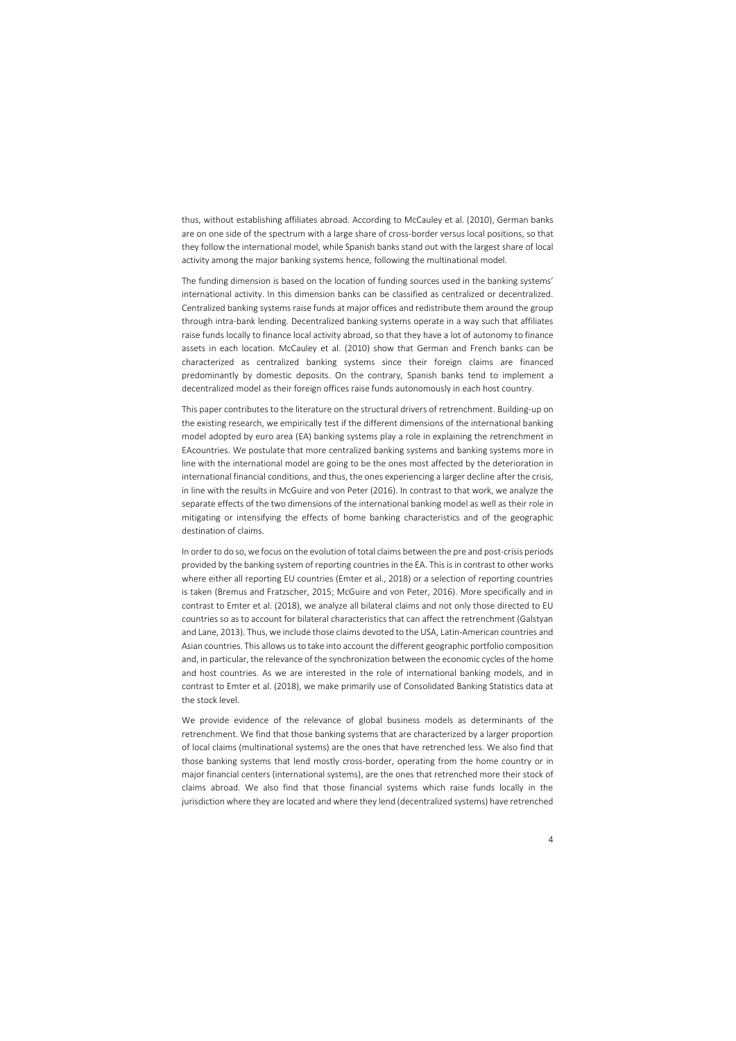thus, without establishing affiliates abroad. According to McCauley et al. (2010), German banks are on one side of the spectrum with a large share of cross-border versus local positions, so that they follow the international model, while Spanish banks stand out with the largest share of local activity among the major banking systems hence, following the multinational model.

The funding dimension is based on the location of funding sources used in the banking systems' international activity. In this dimension banks can be classified as centralized or decentralized. Centralized banking systems raise funds at major offices and redistribute them around the group through intra-bank lending. Decentralized banking systems operate in a way such that affiliates raise funds locally to finance local activity abroad, so that they have a lot of autonomy to finance assets in each location. McCauley et al. (2010) show that German and French banks can be characterized as centralized banking systems since their foreign claims are financed predominantly by domestic deposits. On the contrary, Spanish banks tend to implement a decentralized model as their foreign offices raise funds autonomously in each host country.

This paper contributes to the literature on the structural drivers of retrenchment. Building-up on the existing research, we empirically test if the different dimensions of the international banking model adopted by euro area (EA) banking systems play a role in explaining the retrenchment in EAcountries. We postulate that more centralized banking systems and banking systems more in line with the international model are going to be the ones most affected by the deterioration in international financial conditions, and thus, the ones experiencing a larger decline after the crisis, in line with the results in McGuire and von Peter (2016). In contrast to that work, we analyze the separate effects of the two dimensions of the international banking model as well as their role in mitigating or intensifying the effects of home banking characteristics and of the geographic destination of claims.

In order to do so, we focus on the evolution of total claims between the pre and post-crisis periods provided by the banking system of reporting countries in the EA. This is in contrast to other works where either all reporting EU countries (Emter et al., 2018) or a selection of reporting countries is taken (Bremus and Fratzscher, 2015; McGuire and von Peter, 2016). More specifically and in contrast to Emter et al. (2018), we analyze all bilateral claims and not only those directed to EU countries so as to account for bilateral characteristics that can affect the retrenchment (Galstyan and Lane, 2013). Thus, we include those claims devoted to the USA, Latin-American countries and Asian countries. This allows us to take into account the different geographic portfolio composition and, in particular, the relevance of the synchronization between the economic cycles of the home and host countries. As we are interested in the role of international banking models, and in contrast to Emter et al. (2018), we make primarily use of Consolidated Banking Statistics data at the stock level.

We provide evidence of the relevance of global business models as determinants of the retrenchment. We find that those banking systems that are characterized by a larger proportion of local claims (multinational systems) are the ones that have retrenched less. We also find that those banking systems that lend mostly cross-border, operating from the home country or in major financial centers (international systems), are the ones that retrenched more their stock of claims abroad. We also find that those financial systems which raise funds locally in the jurisdiction where they are located and where they lend (decentralized systems) have retrenched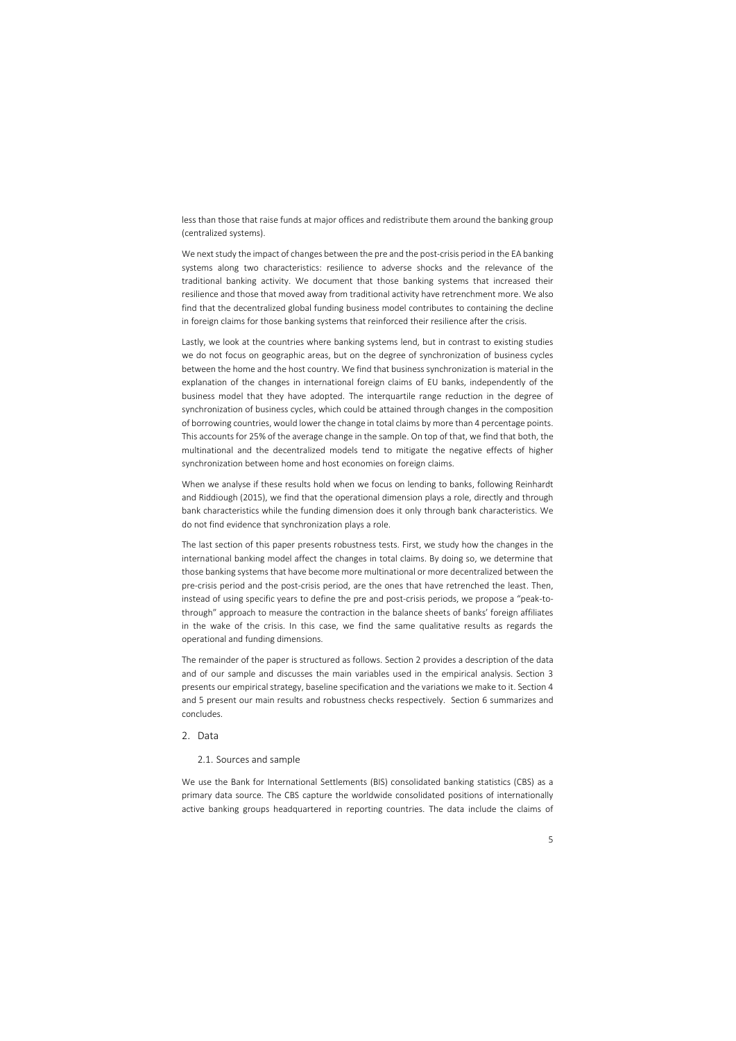less than those that raise funds at major offices and redistribute them around the banking group (centralized systems).

We next study the impact of changes between the pre and the post-crisis period in the EA banking systems along two characteristics: resilience to adverse shocks and the relevance of the traditional banking activity. We document that those banking systems that increased their resilience and those that moved away from traditional activity have retrenchment more. We also find that the decentralized global funding business model contributes to containing the decline in foreign claims for those banking systems that reinforced their resilience after the crisis.

Lastly, we look at the countries where banking systems lend, but in contrast to existing studies we do not focus on geographic areas, but on the degree of synchronization of business cycles between the home and the host country. We find that business synchronization is material in the explanation of the changes in international foreign claims of EU banks, independently of the business model that they have adopted. The interquartile range reduction in the degree of synchronization of business cycles, which could be attained through changes in the composition of borrowing countries, would lower the change in total claims by more than 4 percentage points. This accounts for 25% of the average change in the sample. On top of that, we find that both, the multinational and the decentralized models tend to mitigate the negative effects of higher synchronization between home and host economies on foreign claims.

When we analyse if these results hold when we focus on lending to banks, following Reinhardt and Riddiough (2015), we find that the operational dimension plays a role, directly and through bank characteristics while the funding dimension does it only through bank characteristics. We do not find evidence that synchronization plays a role.

The last section of this paper presents robustness tests. First, we study how the changes in the international banking model affect the changes in total claims. By doing so, we determine that those banking systems that have become more multinational or more decentralized between the pre-crisis period and the post-crisis period, are the ones that have retrenched the least. Then, instead of using specific years to define the pre and post-crisis periods, we propose a "peak-tothrough" approach to measure the contraction in the balance sheets of banks' foreign affiliates in the wake of the crisis. In this case, we find the same qualitative results as regards the operational and funding dimensions.

The remainder of the paper is structured as follows. Section 2 provides a description of the data and of our sample and discusses the main variables used in the empirical analysis. Section 3 presents our empirical strategy, baseline specification and the variations we make to it. Section 4 and 5 present our main results and robustness checks respectively. Section 6 summarizes and concludes.

## 2. Data

## 2.1. Sources and sample

We use the Bank for International Settlements (BIS) consolidated banking statistics (CBS) as a primary data source. The CBS capture the worldwide consolidated positions of internationally active banking groups headquartered in reporting countries. The data include the claims of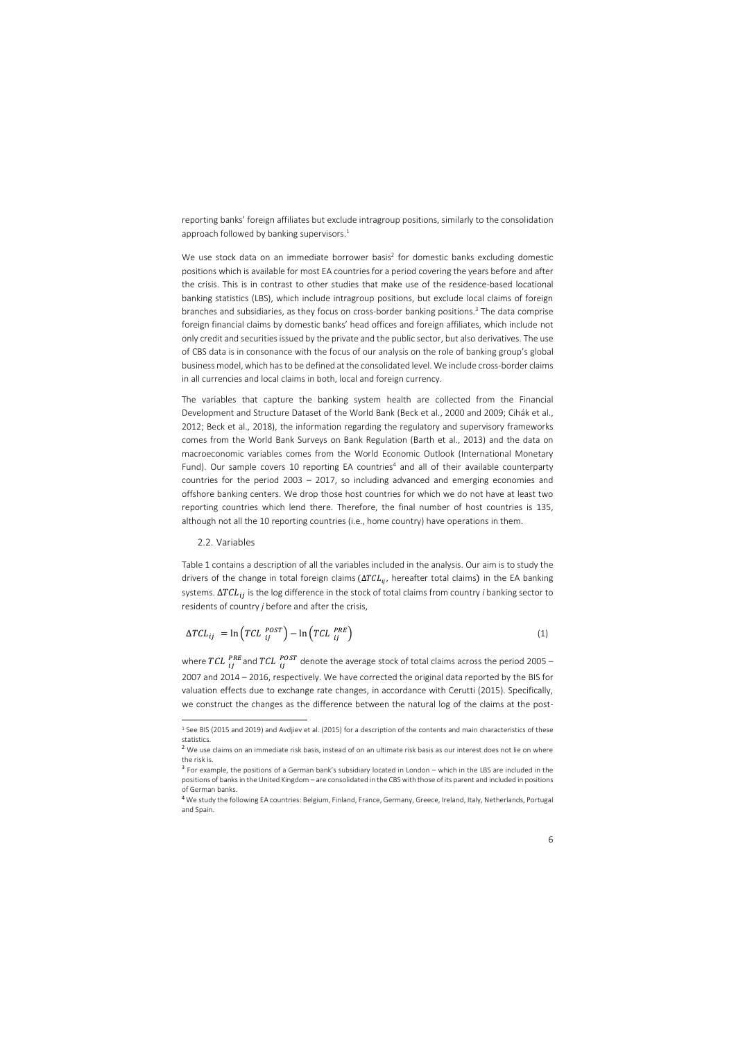reporting banks' foreign affiliates but exclude intragroup positions, similarly to the consolidation approach followed by banking supervisors. $1$ 

We use stock data on an immediate borrower basis<sup>2</sup> for domestic banks excluding domestic positions which is available for most EA countries for a period covering the years before and after the crisis. This is in contrast to other studies that make use of the residence-based locational banking statistics (LBS), which include intragroup positions, but exclude local claims of foreign branches and subsidiaries, as they focus on cross-border banking positions. <sup>3</sup> The data comprise foreign financial claims by domestic banks' head offices and foreign affiliates, which include not only credit and securities issued by the private and the public sector, but also derivatives. The use of CBS data is in consonance with the focus of our analysis on the role of banking group's global business model, which has to be defined at the consolidated level. We include cross-border claims in all currencies and local claims in both, local and foreign currency.

The variables that capture the banking system health are collected from the Financial Development and Structure Dataset of the World Bank (Beck et al., 2000 and 2009; Cihák et al., 2012; Beck et al., 2018), the information regarding the regulatory and supervisory frameworks comes from the World Bank Surveys on Bank Regulation (Barth et al., 2013) and the data on macroeconomic variables comes from the World Economic Outlook (International Monetary Fund). Our sample covers 10 reporting EA countries<sup>4</sup> and all of their available counterparty countries for the period 2003 – 2017, so including advanced and emerging economies and offshore banking centers. We drop those host countries for which we do not have at least two reporting countries which lend there. Therefore, the final number of host countries is 135, although not all the 10 reporting countries (i.e., home country) have operations in them.

#### 2.2. Variables

 $\overline{a}$ 

Table 1 contains a description of all the variables included in the analysis. Our aim is to study the drivers of the change in total foreign claims ( $\Delta TCL_{ii}$ , hereafter total claims) in the EA banking systems.  $\Delta T CL_{ij}$  is the log difference in the stock of total claims from country *i* banking sector to residents of country *j* before and after the crisis,

$$
\Delta TCL_{ij} = \ln \left( TCL_{ij}^{POST} \right) - \ln \left( TCL_{ij}^{PRE} \right) \tag{1}
$$

where  $TCL$   $\frac{PRE}{ij}$  and  $TCL$   $\frac{POST}{ij}$  denote the average stock of total claims across the period 2005 – 2007 and 2014 – 2016, respectively. We have corrected the original data reported by the BIS for valuation effects due to exchange rate changes, in accordance with Cerutti (2015). Specifically, we construct the changes as the difference between the natural log of the claims at the post-

<sup>&</sup>lt;sup>1</sup> See BIS (2015 and 2019) and Avdjiev et al. (2015) for a description of the contents and main characteristics of these statistics.

<sup>&</sup>lt;sup>2</sup> We use claims on an immediate risk basis, instead of on an ultimate risk basis as our interest does not lie on where the risk is.

<sup>&</sup>lt;sup>3</sup> For example, the positions of a German bank's subsidiary located in London – which in the LBS are included in the positions of banks in the United Kingdom – are consolidated in the CBS with those of its parent and included in positions of German banks.

<sup>4</sup> We study the following EA countries: Belgium, Finland, France, Germany, Greece, Ireland, Italy, Netherlands, Portugal and Spain.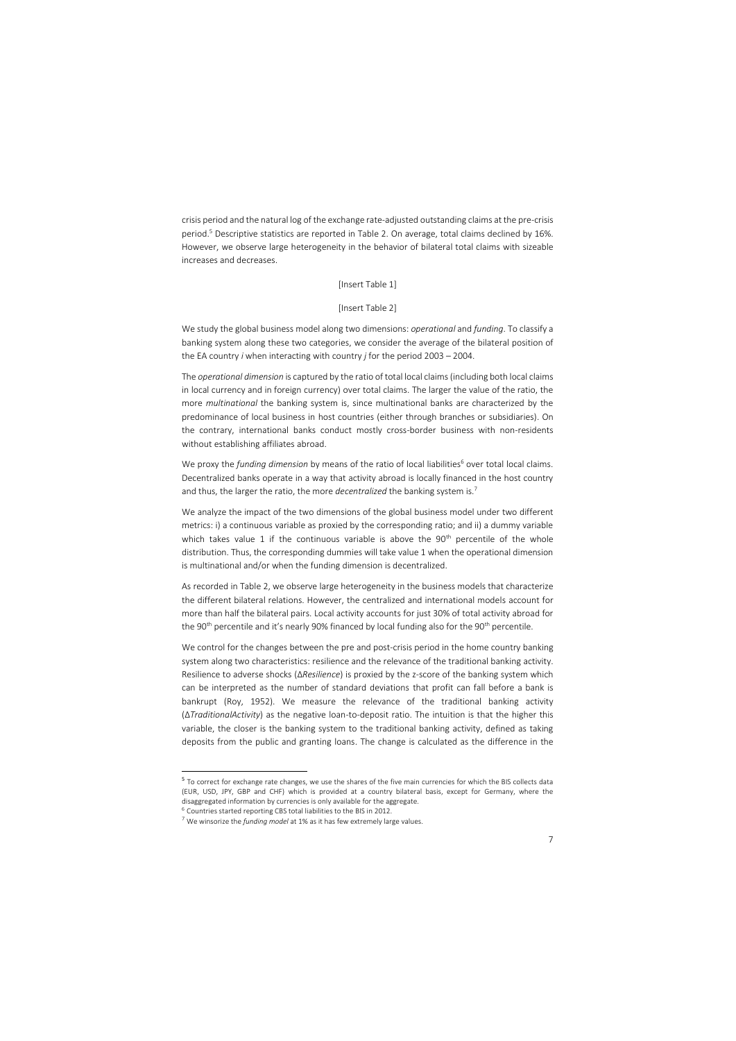crisis period and the natural log of the exchange rate-adjusted outstanding claims at the pre-crisis period. <sup>5</sup> Descriptive statistics are reported in Table 2. On average, total claims declined by 16%. However, we observe large heterogeneity in the behavior of bilateral total claims with sizeable increases and decreases.

[Insert Table 1]

## [Insert Table 2]

We study the global business model along two dimensions: *operational* and *funding*. To classify a banking system along these two categories, we consider the average of the bilateral position of the EA country *i* when interacting with country *j* for the period 2003 – 2004.

The *operational dimension* is captured by the ratio of total local claims (including both local claims in local currency and in foreign currency) over total claims. The larger the value of the ratio, the more *multinational* the banking system is, since multinational banks are characterized by the predominance of local business in host countries (either through branches or subsidiaries). On the contrary, international banks conduct mostly cross-border business with non-residents without establishing affiliates abroad.

We proxy the *funding dimension* by means of the ratio of local liabilities<sup>6</sup> over total local claims. Decentralized banks operate in a way that activity abroad is locally financed in the host country and thus, the larger the ratio, the more *decentralized* the banking system is.<sup>7</sup>

We analyze the impact of the two dimensions of the global business model under two different metrics: i) a continuous variable as proxied by the corresponding ratio; and ii) a dummy variable which takes value 1 if the continuous variable is above the  $90<sup>th</sup>$  percentile of the whole distribution. Thus, the corresponding dummies will take value 1 when the operational dimension is multinational and/or when the funding dimension is decentralized.

As recorded in Table 2, we observe large heterogeneity in the business models that characterize the different bilateral relations. However, the centralized and international models account for more than half the bilateral pairs. Local activity accounts for just 30% of total activity abroad for the 90<sup>th</sup> percentile and it's nearly 90% financed by local funding also for the 90<sup>th</sup> percentile.

We control for the changes between the pre and post-crisis period in the home country banking system along two characteristics: resilience and the relevance of the traditional banking activity. Resilience to adverse shocks (∆*Resilience*) is proxied by the z-score of the banking system which can be interpreted as the number of standard deviations that profit can fall before a bank is bankrupt (Roy, 1952). We measure the relevance of the traditional banking activity (∆*TraditionalActivity*) as the negative loan-to-deposit ratio. The intuition is that the higher this variable, the closer is the banking system to the traditional banking activity, defined as taking deposits from the public and granting loans. The change is calculated as the difference in the

**.** 

<sup>&</sup>lt;sup>5</sup> To correct for exchange rate changes, we use the shares of the five main currencies for which the BIS collects data (EUR, USD, JPY, GBP and CHF) which is provided at a country bilateral basis, except for Germany, where the disaggregated information by currencies is only available for the aggregate.

<sup>6</sup> Countries started reporting CBS total liabilities to the BIS in 2012.

<sup>7</sup> We winsorize the *funding model* at 1% as it has few extremely large values.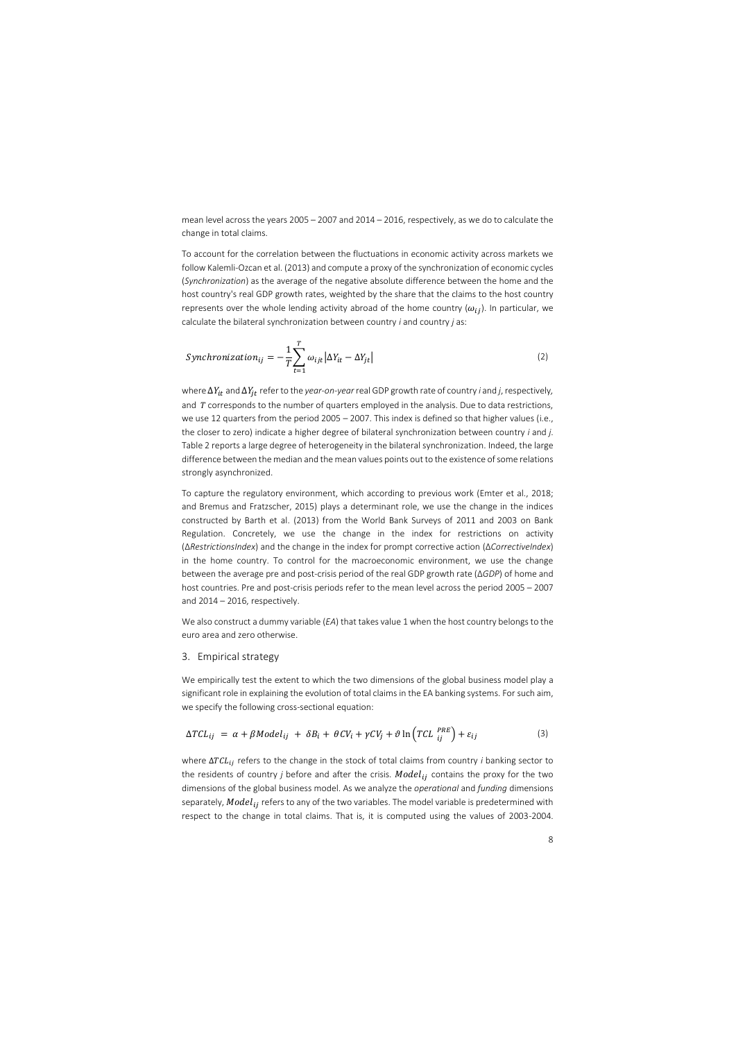mean level across the years 2005 – 2007 and 2014 – 2016, respectively, as we do to calculate the change in total claims.

To account for the correlation between the fluctuations in economic activity across markets we follow Kalemli-Ozcan et al. (2013) and compute a proxy of the synchronization of economic cycles (*Synchronization*) as the average of the negative absolute difference between the home and the host country's real GDP growth rates, weighted by the share that the claims to the host country represents over the whole lending activity abroad of the home country  $(\omega_{ij})$ . In particular, we calculate the bilateral synchronization between country *i* and country *j* as:

$$
Synchronization_{ij} = -\frac{1}{T} \sum_{t=1}^{T} \omega_{ijt} |\Delta Y_{it} - \Delta Y_{jt}|
$$
\n(2)

where  $\Delta Y_{it}$  and  $\Delta Y_{jt}$  refer to the *year-on-year* real GDP growth rate of country *i* and *j*, respectively, and  $T$  corresponds to the number of quarters employed in the analysis. Due to data restrictions, we use 12 quarters from the period 2005 – 2007. This index is defined so that higher values (i.e., the closer to zero) indicate a higher degree of bilateral synchronization between country *i* and *j*. Table 2 reports a large degree of heterogeneity in the bilateral synchronization. Indeed, the large difference between the median and the mean values points out to the existence of some relations strongly asynchronized.

To capture the regulatory environment, which according to previous work (Emter et al., 2018; and Bremus and Fratzscher, 2015) plays a determinant role, we use the change in the indices constructed by Barth et al. (2013) from the World Bank Surveys of 2011 and 2003 on Bank Regulation. Concretely, we use the change in the index for restrictions on activity (∆*RestrictionsIndex*) and the change in the index for prompt corrective action (∆*CorrectiveIndex*) in the home country. To control for the macroeconomic environment, we use the change between the average pre and post-crisis period of the real GDP growth rate (∆*GDP*) of home and host countries. Pre and post-crisis periods refer to the mean level across the period 2005 – 2007 and 2014 – 2016, respectively.

We also construct a dummy variable (*EA*) that takes value 1 when the host country belongs to the euro area and zero otherwise.

### 3. Empirical strategy

We empirically test the extent to which the two dimensions of the global business model play a significant role in explaining the evolution of total claims in the EA banking systems. For such aim, we specify the following cross-sectional equation:

$$
\Delta TCL_{ij} = \alpha + \beta Model_{ij} + \delta B_i + \theta CV_i + \gamma CV_j + \vartheta \ln \left( TCL_{ij}^{PRE} \right) + \varepsilon_{ij}
$$
\n(3)

where ΔTCL<sub>ij</sub> refers to the change in the stock of total claims from country *i* banking sector to the residents of country *j* before and after the crisis.  $Model_{ij}$  contains the proxy for the two dimensions of the global business model. As we analyze the *operational* and *funding* dimensions separately,  $Model_{ij}$  refers to any of the two variables. The model variable is predetermined with respect to the change in total claims. That is, it is computed using the values of 2003-2004.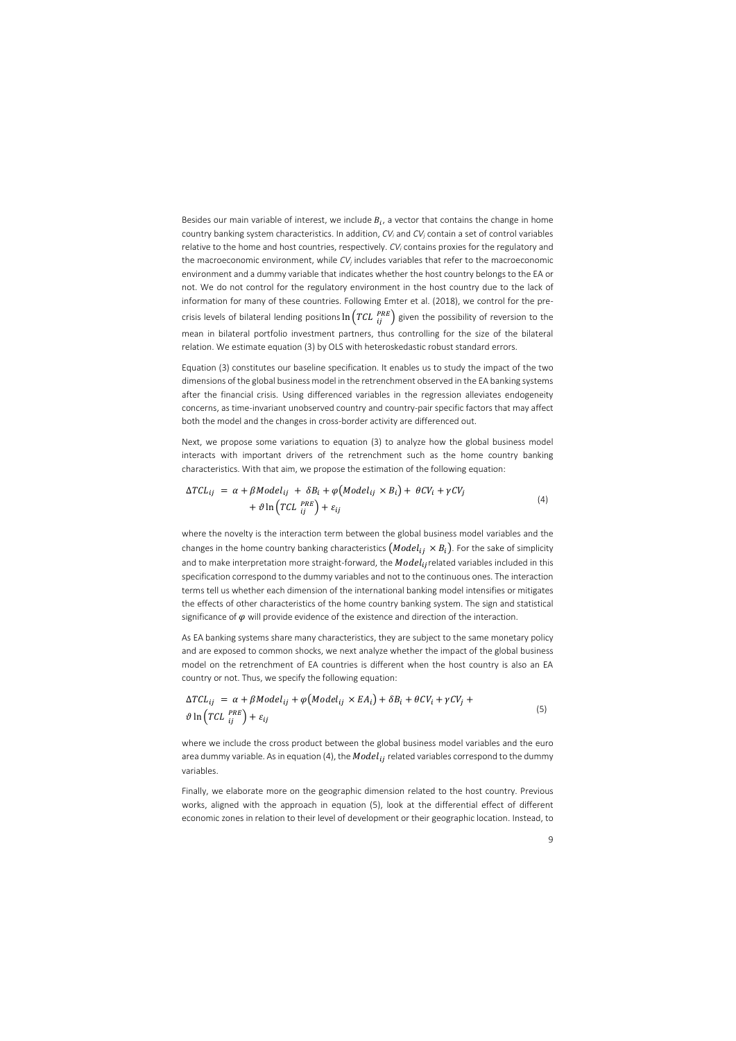Besides our main variable of interest, we include  $B_i$ , a vector that contains the change in home country banking system characteristics. In addition, *CV<sup>i</sup>* and *CV<sup>j</sup>* contain a set of control variables relative to the home and host countries, respectively. *CV<sup>i</sup>* contains proxies for the regulatory and the macroeconomic environment, while *CV<sup>j</sup>* includes variables that refer to the macroeconomic environment and a dummy variable that indicates whether the host country belongs to the EA or not. We do not control for the regulatory environment in the host country due to the lack of information for many of these countries. Following Emter et al. (2018), we control for the precrisis levels of bilateral lending positions  $\ln \left( TCL \, \frac{PRE}{ij} \right)$  given the possibility of reversion to the mean in bilateral portfolio investment partners, thus controlling for the size of the bilateral relation. We estimate equation (3) by OLS with heteroskedastic robust standard errors.

Equation (3) constitutes our baseline specification. It enables us to study the impact of the two dimensions of the global business model in the retrenchment observed in the EA banking systems after the financial crisis. Using differenced variables in the regression alleviates endogeneity concerns, as time-invariant unobserved country and country-pair specific factors that may affect both the model and the changes in cross-border activity are differenced out.

Next, we propose some variations to equation (3) to analyze how the global business model interacts with important drivers of the retrenchment such as the home country banking characteristics. With that aim, we propose the estimation of the following equation:

$$
\Delta TCL_{ij} = \alpha + \beta Model_{ij} + \delta B_i + \varphi (Model_{ij} \times B_i) + \theta CV_i + \gamma CV_j
$$
  
+  $\vartheta \ln \left( TCL_{ij}^{PRE} \right) + \varepsilon_{ij}$  (4)

where the novelty is the interaction term between the global business model variables and the changes in the home country banking characteristics  $(Model_{ij} \times B_i)$ . For the sake of simplicity and to make interpretation more straight-forward, the  $Model_{ij}$ related variables included in this specification correspond to the dummy variables and not to the continuous ones. The interaction terms tell us whether each dimension of the international banking model intensifies or mitigates the effects of other characteristics of the home country banking system. The sign and statistical significance of  $\varphi$  will provide evidence of the existence and direction of the interaction.

As EA banking systems share many characteristics, they are subject to the same monetary policy and are exposed to common shocks, we next analyze whether the impact of the global business model on the retrenchment of EA countries is different when the host country is also an EA country or not. Thus, we specify the following equation:

$$
\Delta TCL_{ij} = \alpha + \beta Model_{ij} + \varphi (Model_{ij} \times EA_i) + \delta B_i + \theta CV_i + \gamma CV_j +
$$
  

$$
\vartheta \ln \left( TCL_{ij}^{PRE} \right) + \varepsilon_{ij}
$$
 (5)

where we include the cross product between the global business model variables and the euro area dummy variable. As in equation (4), the  $Model_{ij}$  related variables correspond to the dummy variables.

Finally, we elaborate more on the geographic dimension related to the host country. Previous works, aligned with the approach in equation (5), look at the differential effect of different economic zones in relation to their level of development or their geographic location. Instead, to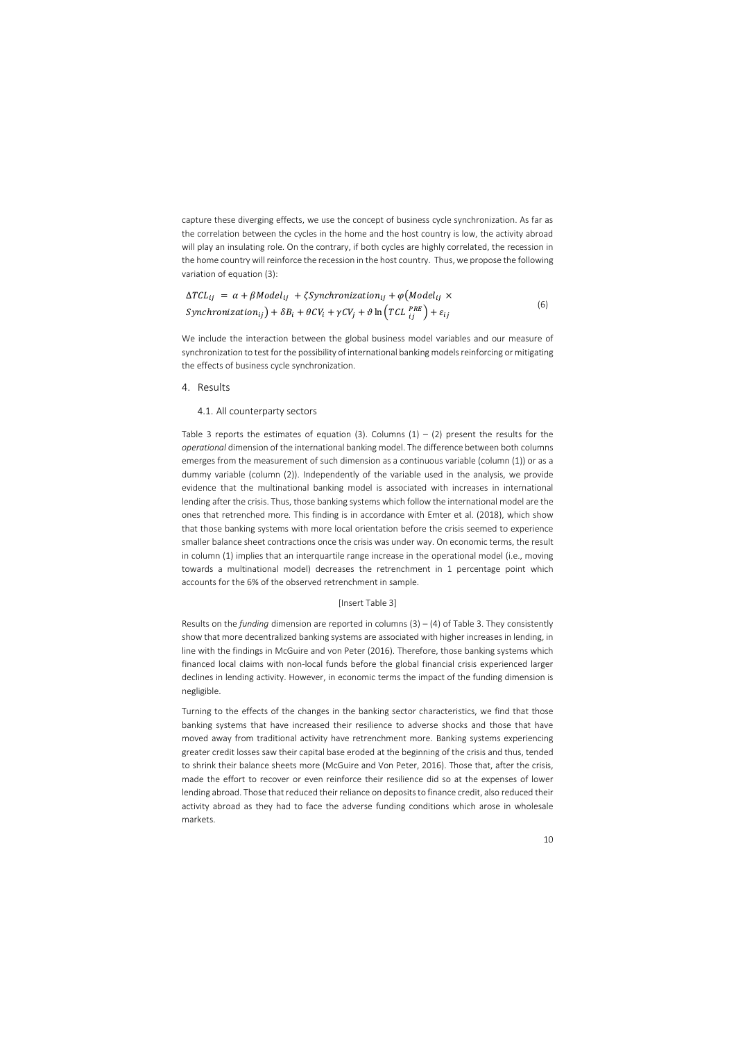capture these diverging effects, we use the concept of business cycle synchronization. As far as the correlation between the cycles in the home and the host country is low, the activity abroad will play an insulating role. On the contrary, if both cycles are highly correlated, the recession in the home country will reinforce the recession in the host country. Thus, we propose the following variation of equation (3):

$$
\Delta TCL_{ij} = \alpha + \beta Model_{ij} + \zeta Synchronization_{ij} + \varphi \left( Model_{ij} \times \text{Synchronization}_{ij} \right) + \delta B_i + \theta CV_i + \gamma CV_j + \vartheta \ln \left( TCL \frac{PRE}{ij} \right) + \varepsilon_{ij}
$$
\n
$$
\tag{6}
$$

We include the interaction between the global business model variables and our measure of synchronization to test for the possibility of international banking models reinforcing or mitigating the effects of business cycle synchronization.

## 4. Results

## 4.1. All counterparty sectors

Table 3 reports the estimates of equation (3). Columns (1) – (2) present the results for the *operational* dimension of the international banking model. The difference between both columns emerges from the measurement of such dimension as a continuous variable (column (1)) or as a dummy variable (column (2)). Independently of the variable used in the analysis, we provide evidence that the multinational banking model is associated with increases in international lending after the crisis. Thus, those banking systems which follow the international model are the ones that retrenched more. This finding is in accordance with Emter et al. (2018), which show that those banking systems with more local orientation before the crisis seemed to experience smaller balance sheet contractions once the crisis was under way. On economic terms, the result in column (1) implies that an interquartile range increase in the operational model (i.e., moving towards a multinational model) decreases the retrenchment in 1 percentage point which accounts for the 6% of the observed retrenchment in sample.

## [Insert Table 3]

Results on the *funding* dimension are reported in columns (3) – (4) of Table 3. They consistently show that more decentralized banking systems are associated with higher increases in lending, in line with the findings in McGuire and von Peter (2016). Therefore, those banking systems which financed local claims with non-local funds before the global financial crisis experienced larger declines in lending activity. However, in economic terms the impact of the funding dimension is negligible.

Turning to the effects of the changes in the banking sector characteristics, we find that those banking systems that have increased their resilience to adverse shocks and those that have moved away from traditional activity have retrenchment more. Banking systems experiencing greater credit losses saw their capital base eroded at the beginning of the crisis and thus, tended to shrink their balance sheets more (McGuire and Von Peter, 2016). Those that, after the crisis, made the effort to recover or even reinforce their resilience did so at the expenses of lower lending abroad. Those that reduced their reliance on deposits to finance credit, also reduced their activity abroad as they had to face the adverse funding conditions which arose in wholesale markets.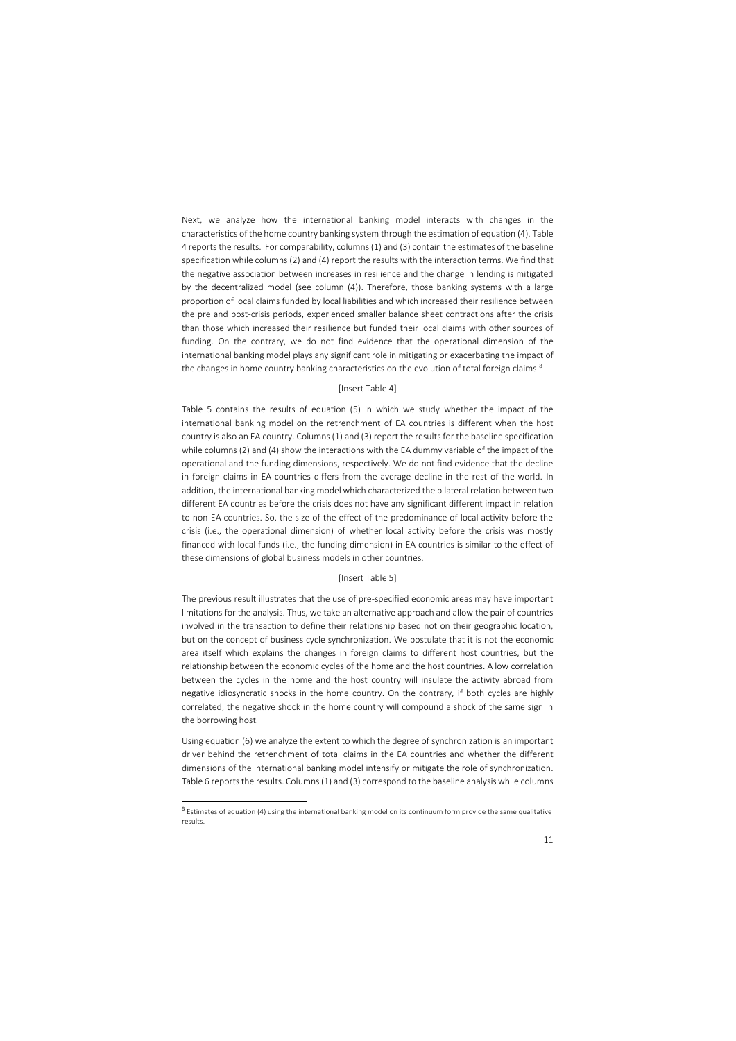Next, we analyze how the international banking model interacts with changes in the characteristics of the home country banking system through the estimation of equation (4). Table 4 reports the results. For comparability, columns (1) and (3) contain the estimates of the baseline specification while columns (2) and (4) report the results with the interaction terms. We find that the negative association between increases in resilience and the change in lending is mitigated by the decentralized model (see column (4)). Therefore, those banking systems with a large proportion of local claims funded by local liabilities and which increased their resilience between the pre and post-crisis periods, experienced smaller balance sheet contractions after the crisis than those which increased their resilience but funded their local claims with other sources of funding. On the contrary, we do not find evidence that the operational dimension of the international banking model plays any significant role in mitigating or exacerbating the impact of the changes in home country banking characteristics on the evolution of total foreign claims.<sup>8</sup>

## [Insert Table 4]

Table 5 contains the results of equation (5) in which we study whether the impact of the international banking model on the retrenchment of EA countries is different when the host country is also an EA country. Columns (1) and (3) report the results for the baseline specification while columns (2) and (4) show the interactions with the EA dummy variable of the impact of the operational and the funding dimensions, respectively. We do not find evidence that the decline in foreign claims in EA countries differs from the average decline in the rest of the world. In addition, the international banking model which characterized the bilateral relation between two different EA countries before the crisis does not have any significant different impact in relation to non-EA countries. So, the size of the effect of the predominance of local activity before the crisis (i.e., the operational dimension) of whether local activity before the crisis was mostly financed with local funds (i.e., the funding dimension) in EA countries is similar to the effect of these dimensions of global business models in other countries.

#### [Insert Table 5]

The previous result illustrates that the use of pre-specified economic areas may have important limitations for the analysis. Thus, we take an alternative approach and allow the pair of countries involved in the transaction to define their relationship based not on their geographic location, but on the concept of business cycle synchronization. We postulate that it is not the economic area itself which explains the changes in foreign claims to different host countries, but the relationship between the economic cycles of the home and the host countries. A low correlation between the cycles in the home and the host country will insulate the activity abroad from negative idiosyncratic shocks in the home country. On the contrary, if both cycles are highly correlated, the negative shock in the home country will compound a shock of the same sign in the borrowing host.

Using equation (6) we analyze the extent to which the degree of synchronization is an important driver behind the retrenchment of total claims in the EA countries and whether the different dimensions of the international banking model intensify or mitigate the role of synchronization. Table 6 reports the results. Columns (1) and (3) correspond to the baseline analysis while columns

**.** 

<sup>&</sup>lt;sup>8</sup> Estimates of equation (4) using the international banking model on its continuum form provide the same qualitative results.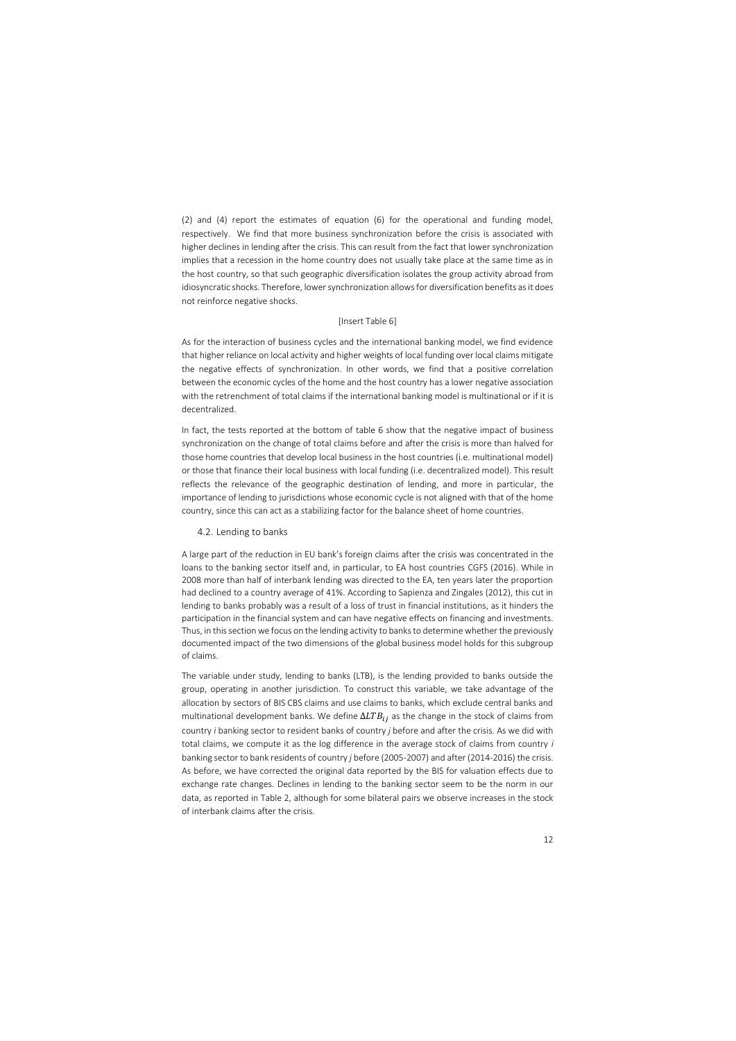(2) and (4) report the estimates of equation (6) for the operational and funding model, respectively. We find that more business synchronization before the crisis is associated with higher declines in lending after the crisis. This can result from the fact that lower synchronization implies that a recession in the home country does not usually take place at the same time as in the host country, so that such geographic diversification isolates the group activity abroad from idiosyncratic shocks. Therefore, lower synchronization allows for diversification benefits as it does not reinforce negative shocks.

## [Insert Table 6]

As for the interaction of business cycles and the international banking model, we find evidence that higher reliance on local activity and higher weights of local funding over local claims mitigate the negative effects of synchronization. In other words, we find that a positive correlation between the economic cycles of the home and the host country has a lower negative association with the retrenchment of total claims if the international banking model is multinational or if it is decentralized.

In fact, the tests reported at the bottom of table 6 show that the negative impact of business synchronization on the change of total claims before and after the crisis is more than halved for those home countries that develop local business in the host countries (i.e. multinational model) or those that finance their local business with local funding (i.e. decentralized model). This result reflects the relevance of the geographic destination of lending, and more in particular, the importance of lending to jurisdictions whose economic cycle is not aligned with that of the home country, since this can act as a stabilizing factor for the balance sheet of home countries.

## 4.2. Lending to banks

A large part of the reduction in EU bank's foreign claims after the crisis was concentrated in the loans to the banking sector itself and, in particular, to EA host countries CGFS (2016). While in 2008 more than half of interbank lending was directed to the EA, ten years later the proportion had declined to a country average of 41%. According to Sapienza and Zingales (2012), this cut in lending to banks probably was a result of a loss of trust in financial institutions, as it hinders the participation in the financial system and can have negative effects on financing and investments. Thus, in this section we focus on the lending activity to banks to determine whether the previously documented impact of the two dimensions of the global business model holds for this subgroup of claims.

The variable under study, lending to banks (LTB), is the lending provided to banks outside the group, operating in another jurisdiction. To construct this variable, we take advantage of the allocation by sectors of BIS CBS claims and use claims to banks, which exclude central banks and multinational development banks. We define  $\Delta L T B_{ij}$  as the change in the stock of claims from country *i* banking sector to resident banks of country *j* before and after the crisis. As we did with total claims, we compute it as the log difference in the average stock of claims from country *i* banking sector to bank residents of country *j* before (2005-2007) and after (2014-2016) the crisis. As before, we have corrected the original data reported by the BIS for valuation effects due to exchange rate changes. Declines in lending to the banking sector seem to be the norm in our data, as reported in Table 2, although for some bilateral pairs we observe increases in the stock of interbank claims after the crisis.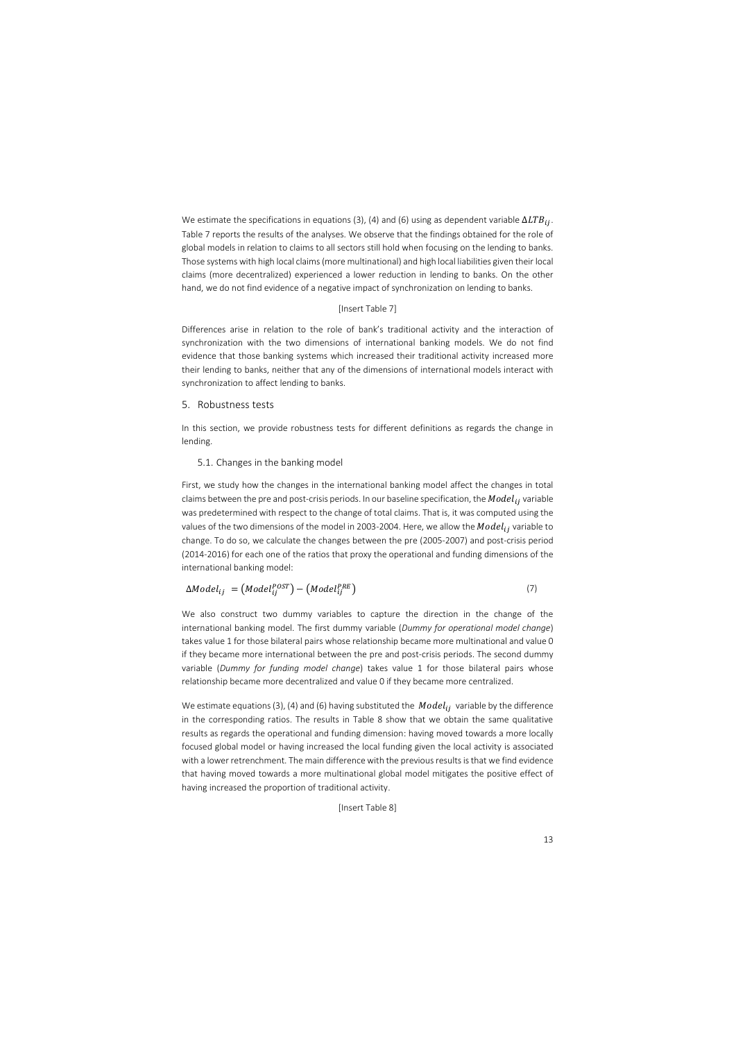We estimate the specifications in equations (3), (4) and (6) using as dependent variable  $\Delta LTB_{ij}$ . Table 7 reports the results of the analyses. We observe that the findings obtained for the role of global models in relation to claims to all sectors still hold when focusing on the lending to banks. Those systems with high local claims (more multinational) and high local liabilities given their local claims (more decentralized) experienced a lower reduction in lending to banks. On the other hand, we do not find evidence of a negative impact of synchronization on lending to banks.

## [Insert Table 7]

Differences arise in relation to the role of bank's traditional activity and the interaction of synchronization with the two dimensions of international banking models. We do not find evidence that those banking systems which increased their traditional activity increased more their lending to banks, neither that any of the dimensions of international models interact with synchronization to affect lending to banks.

## 5. Robustness tests

In this section, we provide robustness tests for different definitions as regards the change in lending.

## 5.1. Changes in the banking model

First, we study how the changes in the international banking model affect the changes in total claims between the pre and post-crisis periods. In our baseline specification, the  $Model_{ij}$  variable was predetermined with respect to the change of total claims. That is, it was computed using the values of the two dimensions of the model in 2003-2004. Here, we allow the  $Model_{ij}$  variable to change. To do so, we calculate the changes between the pre (2005-2007) and post-crisis period (2014-2016) for each one of the ratios that proxy the operational and funding dimensions of the international banking model:

$$
\Delta Model_{ij} = (Model_{ij}^{POST}) - (Model_{ij}^{PRE})
$$
\n(7)

We also construct two dummy variables to capture the direction in the change of the international banking model. The first dummy variable (*Dummy for operational model change*) takes value 1 for those bilateral pairs whose relationship became more multinational and value 0 if they became more international between the pre and post-crisis periods. The second dummy variable (*Dummy for funding model change*) takes value 1 for those bilateral pairs whose relationship became more decentralized and value 0 if they became more centralized.

We estimate equations (3), (4) and (6) having substituted the *Model*<sub>ij</sub> variable by the difference in the corresponding ratios. The results in Table 8 show that we obtain the same qualitative results as regards the operational and funding dimension: having moved towards a more locally focused global model or having increased the local funding given the local activity is associated with a lower retrenchment. The main difference with the previous results is that we find evidence that having moved towards a more multinational global model mitigates the positive effect of having increased the proportion of traditional activity.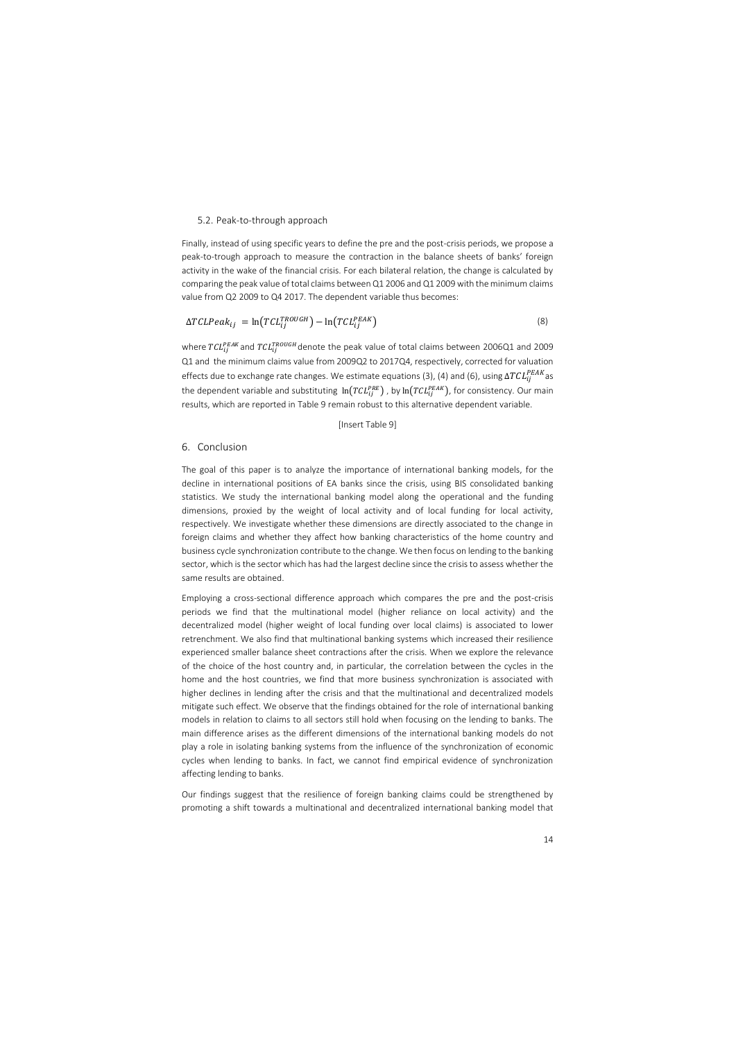#### 5.2. Peak-to-through approach

Finally, instead of using specific years to define the pre and the post-crisis periods, we propose a peak-to-trough approach to measure the contraction in the balance sheets of banks' foreign activity in the wake of the financial crisis. For each bilateral relation, the change is calculated by comparing the peak value of total claims between Q1 2006 and Q1 2009 with the minimum claims value from Q2 2009 to Q4 2017. The dependent variable thus becomes:

$$
\Delta TCLPeak_{ij} = \ln(TCL_{ij}^{TROUGH}) - \ln(TCL_{ij}^{PEAK})
$$
\n(8)

where  $TCL^{PEAK}_{ij}$ and  $TCL^{TROUGH}_{ij}$ denote the peak value of total claims between 2006Q1 and 2009 Q1 and the minimum claims value from 2009Q2 to 2017Q4, respectively, corrected for valuation effects due to exchange rate changes. We estimate equations (3), (4) and (6), using  $\Delta T CL_{ij}^{PEAK}$ as the dependent variable and substituting  $\ln(TCL_{ij}^{PRE})$  , by  $\ln(TCL_{ij}^{PEAK})$ , for consistency. Our main results, which are reported in Table 9 remain robust to this alternative dependent variable.

#### [Insert Table 9]

### 6. Conclusion

The goal of this paper is to analyze the importance of international banking models, for the decline in international positions of EA banks since the crisis, using BIS consolidated banking statistics. We study the international banking model along the operational and the funding dimensions, proxied by the weight of local activity and of local funding for local activity, respectively. We investigate whether these dimensions are directly associated to the change in foreign claims and whether they affect how banking characteristics of the home country and business cycle synchronization contribute to the change. We then focus on lending to the banking sector, which is the sector which has had the largest decline since the crisis to assess whether the same results are obtained.

Employing a cross-sectional difference approach which compares the pre and the post-crisis periods we find that the multinational model (higher reliance on local activity) and the decentralized model (higher weight of local funding over local claims) is associated to lower retrenchment. We also find that multinational banking systems which increased their resilience experienced smaller balance sheet contractions after the crisis. When we explore the relevance of the choice of the host country and, in particular, the correlation between the cycles in the home and the host countries, we find that more business synchronization is associated with higher declines in lending after the crisis and that the multinational and decentralized models mitigate such effect. We observe that the findings obtained for the role of international banking models in relation to claims to all sectors still hold when focusing on the lending to banks. The main difference arises as the different dimensions of the international banking models do not play a role in isolating banking systems from the influence of the synchronization of economic cycles when lending to banks. In fact, we cannot find empirical evidence of synchronization affecting lending to banks.

Our findings suggest that the resilience of foreign banking claims could be strengthened by promoting a shift towards a multinational and decentralized international banking model that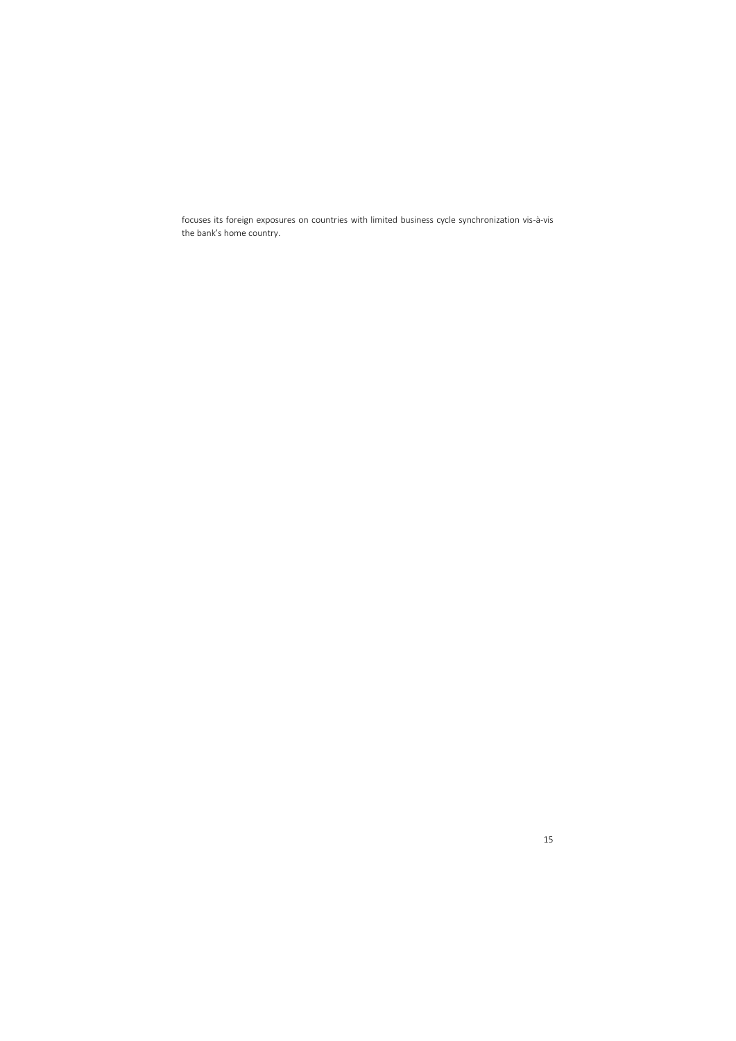focuses its foreign exposures on countries with limited business cycle synchronization vis-à-vis the bank's home country.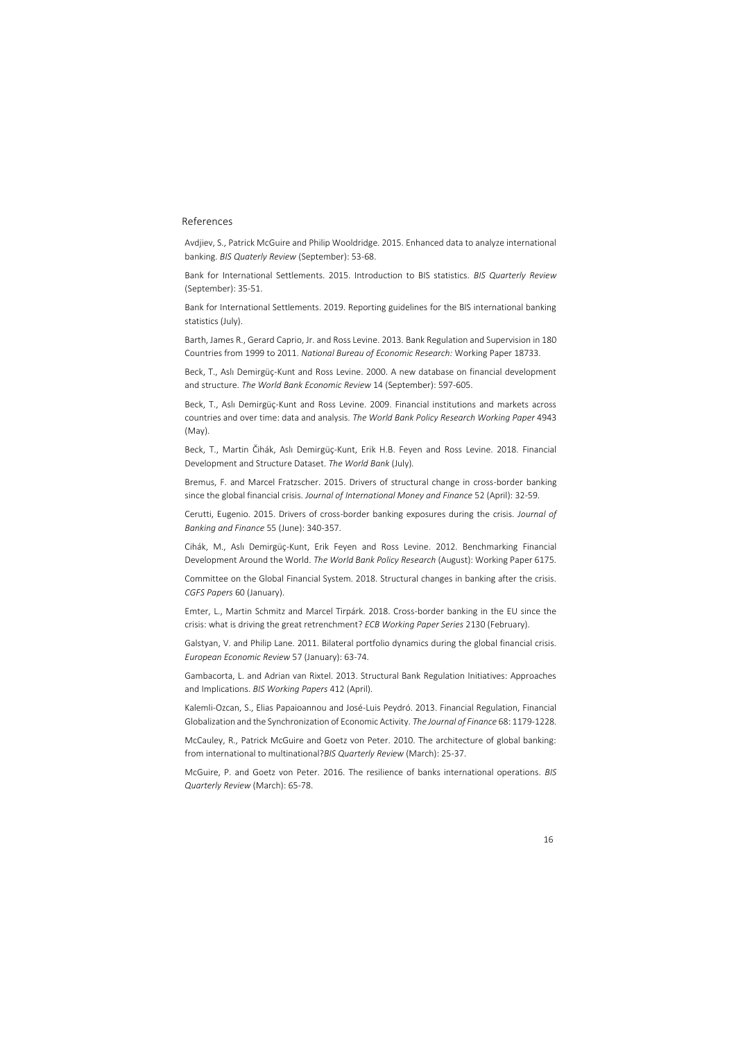## References

Avdjiev, S., Patrick McGuire and Philip Wooldridge. 2015. Enhanced data to analyze international banking. *BIS Quaterly Review* (September): 53-68.

Bank for International Settlements. 2015. Introduction to BIS statistics. *BIS Quarterly Review* (September): 35-51.

Bank for International Settlements. 2019. Reporting guidelines for the BIS international banking statistics (July).

Barth, James R., Gerard Caprio, Jr. and Ross Levine. 2013*.* Bank Regulation and Supervision in 180 Countries from 1999 to 2011. *National Bureau of Economic Research:* Working Paper 18733.

Beck, T., Aslı Demirgüç-Kunt and Ross Levine. 2000. A new database on financial development and structure. *The World Bank Economic Review* 14 (September): 597-605.

Beck, T., Aslı Demirgüç-Kunt and Ross Levine. 2009. Financial institutions and markets across countries and over time: data and analysis. *The World Bank Policy Research Working Paper* 4943 (May).

Beck, T., Martin Čihák, Aslı Demirgüç-Kunt, Erik H.B. Feyen and Ross Levine. 2018. Financial Development and Structure Dataset. *The World Bank* (July)*.*

Bremus, F. and Marcel Fratzscher. 2015. Drivers of structural change in cross-border banking since the global financial crisis. *Journal of International Money and Finance* 52 (April): 32-59.

Cerutti, Eugenio. 2015. Drivers of cross-border banking exposures during the crisis. *Journal of Banking and Finance* 55 (June): 340-357.

Cihák, M., Aslı Demirgüç-Kunt, Erik Feyen and Ross Levine. 2012. Benchmarking Financial Development Around the World. *The World Bank Policy Research* (August): Working Paper 6175.

Committee on the Global Financial System. 2018. Structural changes in banking after the crisis. *CGFS Papers* 60 (January).

Emter, L., Martin Schmitz and Marcel Tirpárk. 2018. Cross-border banking in the EU since the crisis: what is driving the great retrenchment? *ECB Working Paper Series* 2130 (February).

Galstyan, V. and Philip Lane. 2011. Bilateral portfolio dynamics during the global financial crisis. *European Economic Review* 57 (January): 63-74.

Gambacorta, L. and Adrian van Rixtel. 2013. Structural Bank Regulation Initiatives: Approaches and Implications. *BIS Working Papers* 412 (April).

Kalemli-Ozcan, S., Elias Papaioannou and José-Luis Peydró. 2013. Financial Regulation, Financial Globalization and the Synchronization of Economic Activity. *The Journal of Finance* 68: 1179-1228.

McCauley, R., Patrick McGuire and Goetz von Peter. 2010. The architecture of global banking: from international to multinational?*BIS Quarterly Review* (March): 25-37.

McGuire, P. and Goetz von Peter. 2016. The resilience of banks international operations. *BIS Quarterly Review* (March): 65-78.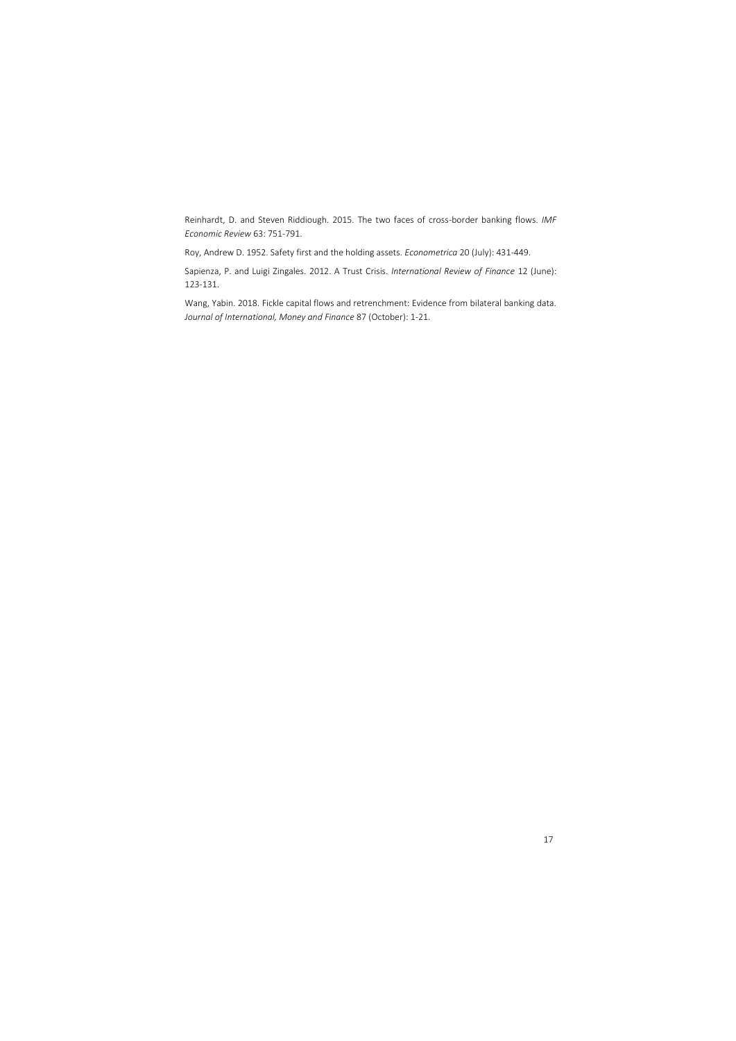Reinhardt, D. and Steven Riddiough. 2015. The two faces of cross-border banking flows. *IMF Economic Review* 63: 751-791.

Roy, Andrew D. 1952. Safety first and the holding assets. *Econometrica* 20 (July): 431-449.

Sapienza, P. and Luigi Zingales. 2012. A Trust Crisis. *International Review of Finance* 12 (June): 123-131.

Wang, Yabin. 2018. Fickle capital flows and retrenchment: Evidence from bilateral banking data. *Journal of International, Money and Finance* 87 (October): 1-21.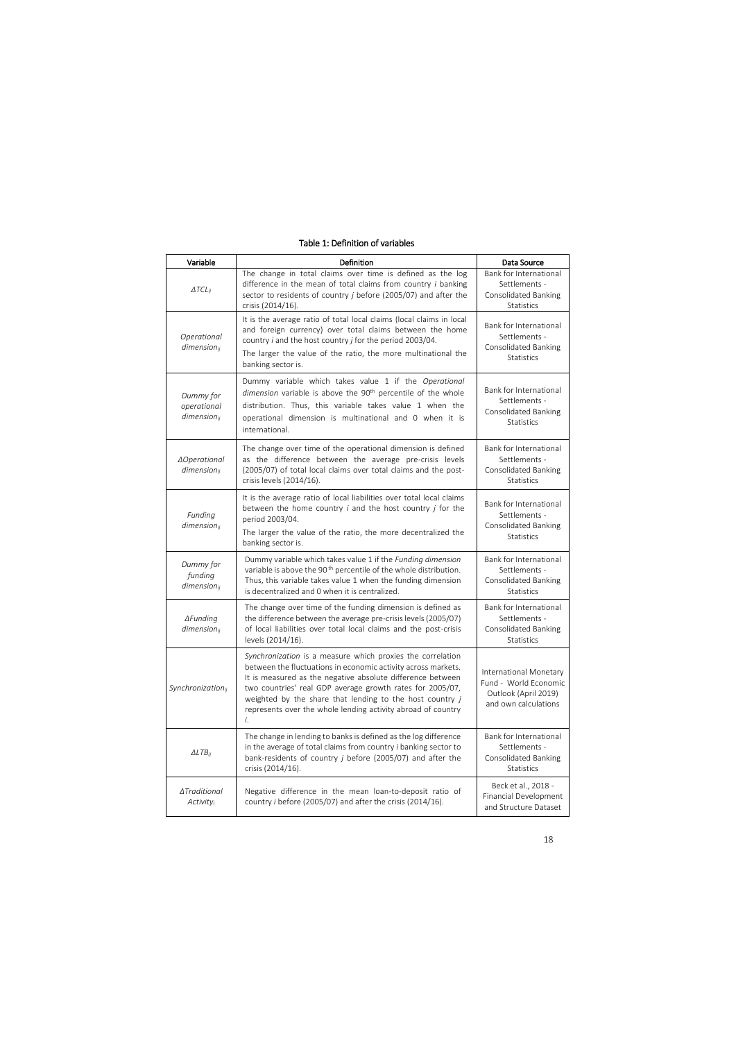| Variable                                     | Definition                                                                                                                                                                                                                                                                                                                                                                               | Data Source                                                                                     |
|----------------------------------------------|------------------------------------------------------------------------------------------------------------------------------------------------------------------------------------------------------------------------------------------------------------------------------------------------------------------------------------------------------------------------------------------|-------------------------------------------------------------------------------------------------|
| $\triangle TCL_{ij}$                         | The change in total claims over time is defined as the log<br>difference in the mean of total claims from country i banking<br>sector to residents of country j before (2005/07) and after the<br>crisis (2014/16).                                                                                                                                                                      | Bank for International<br>Settlements -<br><b>Consolidated Banking</b><br>Statistics            |
| Operational<br>$dimension_{ij}$              | It is the average ratio of total local claims (local claims in local<br>and foreign currency) over total claims between the home<br>country <i>i</i> and the host country <i>j</i> for the period 2003/04.<br>The larger the value of the ratio, the more multinational the<br>banking sector is.                                                                                        | Bank for International<br>Settlements -<br>Consolidated Banking<br><b>Statistics</b>            |
| Dummy for<br>operational<br>$dimension_{ij}$ | Dummy variable which takes value 1 if the Operational<br>dimension variable is above the 90 <sup>th</sup> percentile of the whole<br>distribution. Thus, this variable takes value 1 when the<br>operational dimension is multinational and 0 when it is<br>international.                                                                                                               | Bank for International<br>Settlements -<br>Consolidated Banking<br>Statistics                   |
| ∆Operational<br>$dimension_{ij}$             | The change over time of the operational dimension is defined<br>as the difference between the average pre-crisis levels<br>(2005/07) of total local claims over total claims and the post-<br>crisis levels (2014/16).                                                                                                                                                                   | Bank for International<br>Settlements -<br>Consolidated Banking<br>Statistics                   |
| Funding<br>$dimension_{ij}$                  | It is the average ratio of local liabilities over total local claims<br>between the home country $i$ and the host country $j$ for the<br>period 2003/04.<br>The larger the value of the ratio, the more decentralized the<br>banking sector is.                                                                                                                                          | Bank for International<br>Settlements -<br>Consolidated Banking<br><b>Statistics</b>            |
| Dummy for<br>funding<br>$dimension_{ij}$     | Dummy variable which takes value 1 if the Funding dimension<br>variable is above the 90 <sup>th</sup> percentile of the whole distribution.<br>Thus, this variable takes value 1 when the funding dimension<br>is decentralized and 0 when it is centralized.                                                                                                                            | Bank for International<br>Settlements -<br>Consolidated Banking<br><b>Statistics</b>            |
| $\Delta$ Funding<br>$dimension_{ij}$         | The change over time of the funding dimension is defined as<br>the difference between the average pre-crisis levels (2005/07)<br>of local liabilities over total local claims and the post-crisis<br>levels (2014/16).                                                                                                                                                                   | Bank for International<br>Settlements -<br><b>Consolidated Banking</b><br>Statistics            |
| Synchronizationij                            | Synchronization is a measure which proxies the correlation<br>between the fluctuations in economic activity across markets.<br>It is measured as the negative absolute difference between<br>two countries' real GDP average growth rates for 2005/07,<br>weighted by the share that lending to the host country j<br>represents over the whole lending activity abroad of country<br>i. | International Monetary<br>Fund - World Economic<br>Outlook (April 2019)<br>and own calculations |
| $\triangle LTB_{ij}$                         | The change in lending to banks is defined as the log difference<br>in the average of total claims from country <i>i</i> banking sector to<br>bank-residents of country $j$ before (2005/07) and after the<br>crisis (2014/16).                                                                                                                                                           | Bank for International<br>Settlements -<br><b>Consolidated Banking</b><br>Statistics            |
| ∆Traditional<br>Activityi                    | Negative difference in the mean loan-to-deposit ratio of<br>country i before (2005/07) and after the crisis (2014/16).                                                                                                                                                                                                                                                                   | Beck et al., 2018 -<br><b>Financial Development</b><br>and Structure Dataset                    |

## Table 1: Definition of variables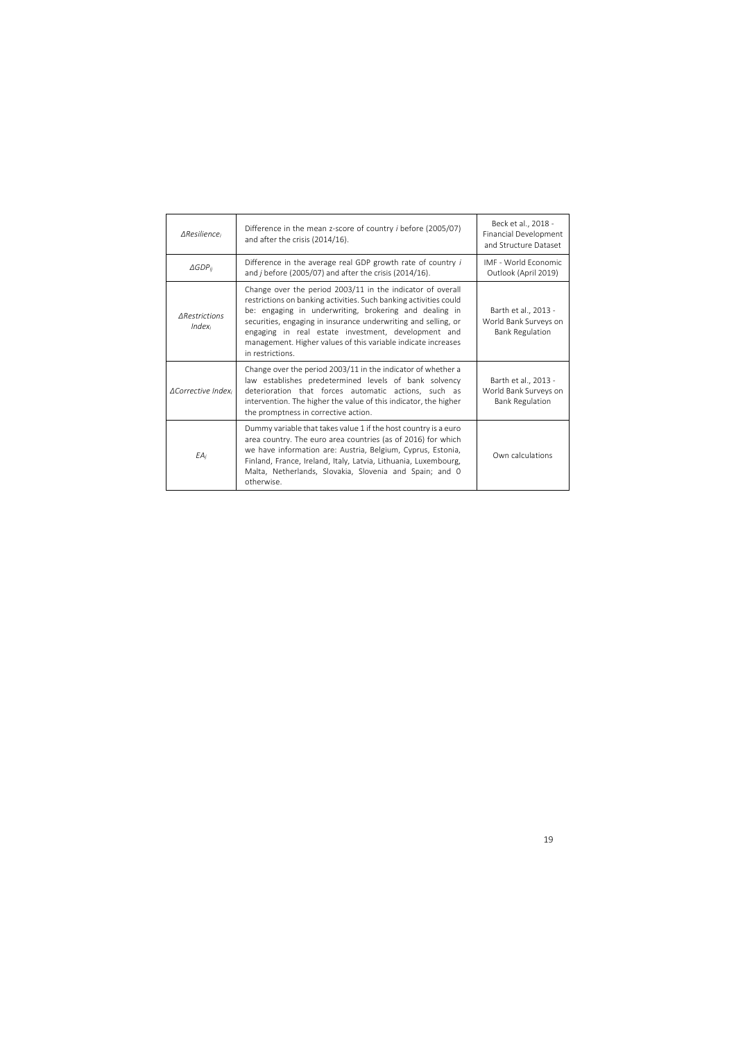| <b>AResilience</b>                | Difference in the mean z-score of country <i>i</i> before (2005/07)<br>and after the crisis (2014/16).                                                                                                                                                                                                                                                                                                  | Beck et al., 2018 -<br><b>Financial Development</b><br>and Structure Dataset |
|-----------------------------------|---------------------------------------------------------------------------------------------------------------------------------------------------------------------------------------------------------------------------------------------------------------------------------------------------------------------------------------------------------------------------------------------------------|------------------------------------------------------------------------------|
| $\triangle$ GDP <sub>ij</sub>     | Difference in the average real GDP growth rate of country i<br>and $j$ before (2005/07) and after the crisis (2014/16).                                                                                                                                                                                                                                                                                 | IMF - World Economic<br>Outlook (April 2019)                                 |
| <b>ARestrictions</b><br>$Index_i$ | Change over the period 2003/11 in the indicator of overall<br>restrictions on banking activities. Such banking activities could<br>be: engaging in underwriting, brokering and dealing in<br>securities, engaging in insurance underwriting and selling, or<br>engaging in real estate investment, development and<br>management. Higher values of this variable indicate increases<br>in restrictions. | Barth et al., 2013 -<br>World Bank Surveys on<br><b>Bank Regulation</b>      |
| <b>ACorrective Index</b>          | Change over the period 2003/11 in the indicator of whether a<br>law establishes predetermined levels of bank solvency<br>deterioration that forces automatic actions, such as<br>intervention. The higher the value of this indicator, the higher<br>the promptness in corrective action.                                                                                                               | Barth et al., 2013 -<br>World Bank Surveys on<br><b>Bank Regulation</b>      |
| $EA_i$                            | Dummy variable that takes value 1 if the host country is a euro<br>area country. The euro area countries (as of 2016) for which<br>we have information are: Austria, Belgium, Cyprus, Estonia,<br>Finland, France, Ireland, Italy, Latvia, Lithuania, Luxembourg,<br>Malta, Netherlands, Slovakia, Slovenia and Spain; and 0<br>otherwise.                                                              | Own calculations                                                             |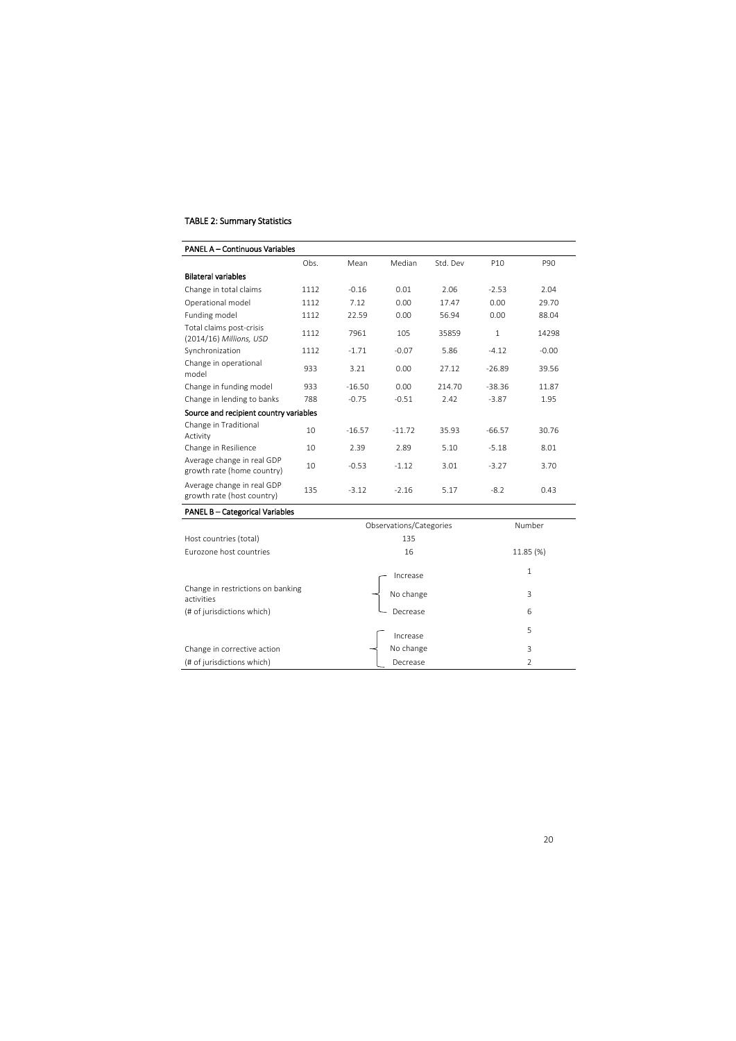## TABLE 2: Summary Statistics

| <b>PANEL A - Continuous Variables</b>                    |      |          |          |          |                 |         |
|----------------------------------------------------------|------|----------|----------|----------|-----------------|---------|
|                                                          | Obs. | Mean     | Median   | Std. Dev | P <sub>10</sub> | P90     |
| <b>Bilateral variables</b>                               |      |          |          |          |                 |         |
| Change in total claims                                   | 1112 | $-0.16$  | 0.01     | 2.06     | $-2.53$         | 2.04    |
| Operational model                                        | 1112 | 7.12     | 0.00     | 17.47    | 0.00            | 29.70   |
| Funding model                                            | 1112 | 22.59    | 0.00     | 56.94    | 0.00            | 88.04   |
| Total claims post-crisis<br>(2014/16) Millions, USD      | 1112 | 7961     | 105      | 35859    | $\mathbf{1}$    | 14298   |
| Synchronization                                          | 1112 | $-1.71$  | $-0.07$  | 5.86     | $-4.12$         | $-0.00$ |
| Change in operational<br>model                           | 933  | 3.21     | 0.00     | 27.12    | $-26.89$        | 39.56   |
| Change in funding model                                  | 933  | $-16.50$ | 0.00     | 214.70   | $-38.36$        | 11.87   |
| Change in lending to banks                               | 788  | $-0.75$  | $-0.51$  | 2.42     | $-3.87$         | 1.95    |
| Source and recipient country variables                   |      |          |          |          |                 |         |
| Change in Traditional<br>Activity                        | 10   | $-16.57$ | $-11.72$ | 35.93    | $-66.57$        | 30.76   |
| Change in Resilience                                     | 10   | 2.39     | 2.89     | 5.10     | $-5.18$         | 8.01    |
| Average change in real GDP<br>growth rate (home country) | 10   | $-0.53$  | $-1.12$  | 3.01     | $-3.27$         | 3.70    |
| Average change in real GDP<br>growth rate (host country) | 135  | $-3.12$  | $-2.16$  | 5.17     | $-8.2$          | 0.43    |

## PANEL B – Categorical Variables

|                                                 | Observations/Categories | Number    |
|-------------------------------------------------|-------------------------|-----------|
| Host countries (total)                          | 135                     |           |
| Eurozone host countries                         | 16                      | 11.85 (%) |
|                                                 | Increase                | 1         |
| Change in restrictions on banking<br>activities | No change               | 3         |
| (# of jurisdictions which)                      | Decrease                | 6         |
|                                                 | Increase                | 5         |
| Change in corrective action                     | No change               | 3         |
| (# of jurisdictions which)                      | Decrease                | 2         |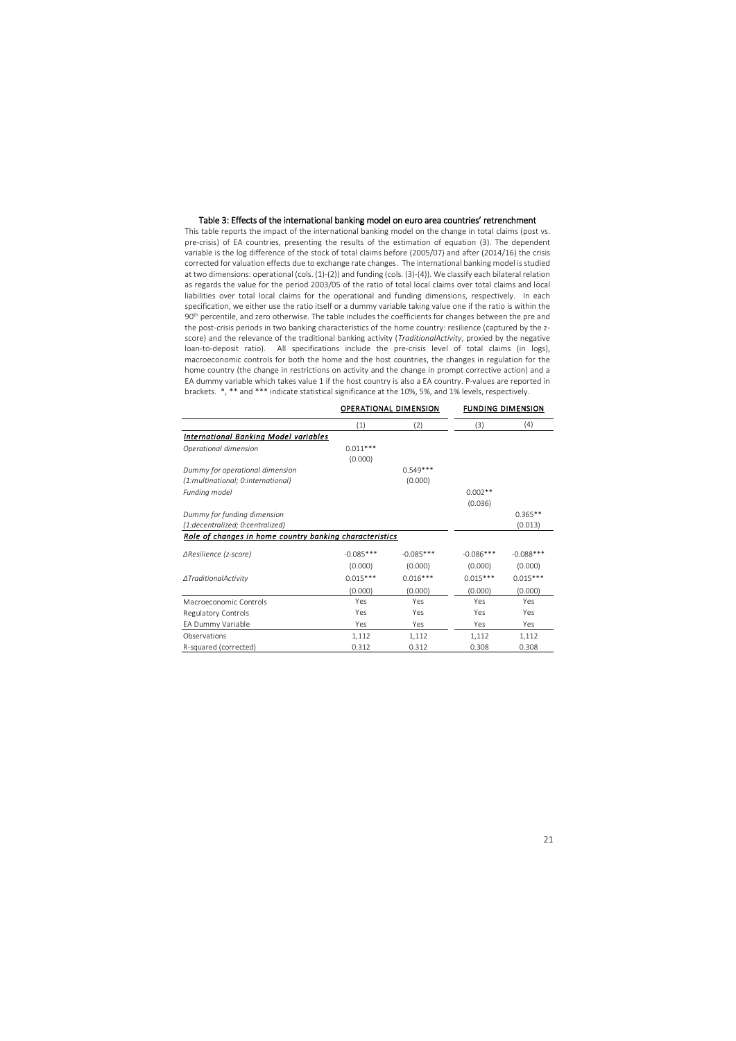#### Table 3: Effects of the international banking model on euro area countries' retrenchment

This table reports the impact of the international banking model on the change in total claims (post vs. pre-crisis) of EA countries, presenting the results of the estimation of equation (3). The dependent variable is the log difference of the stock of total claims before (2005/07) and after (2014/16) the crisis corrected for valuation effects due to exchange rate changes. The international banking model is studied at two dimensions: operational (cols. (1)-(2)) and funding (cols. (3)-(4)). We classify each bilateral relation as regards the value for the period 2003/05 of the ratio of total local claims over total claims and local liabilities over total local claims for the operational and funding dimensions, respectively. In each specification, we either use the ratio itself or a dummy variable taking value one if the ratio is within the 90<sup>th</sup> percentile, and zero otherwise. The table includes the coefficients for changes between the pre and the post-crisis periods in two banking characteristics of the home country: resilience (captured by the zscore) and the relevance of the traditional banking activity (*TraditionalActivity*, proxied by the negative loan-to-deposit ratio). All specifications include the pre-crisis level of total claims (in logs), macroeconomic controls for both the home and the host countries, the changes in regulation for the home country (the change in restrictions on activity and the change in prompt corrective action) and a EA dummy variable which takes value 1 if the host country is also a EA country. P-values are reported in brackets. \*, \*\* and \*\*\* indicate statistical significance at the 10%, 5%, and 1% levels, respectively.

|                                                         |             | OPERATIONAL DIMENSION |             | <b>FUNDING DIMENSION</b> |
|---------------------------------------------------------|-------------|-----------------------|-------------|--------------------------|
|                                                         | (1)         | (2)                   | (3)         | (4)                      |
| <b>International Banking Model variables</b>            |             |                       |             |                          |
| Operational dimension                                   | $0.011***$  |                       |             |                          |
|                                                         | (0.000)     |                       |             |                          |
| Dummy for operational dimension                         |             | $0.549***$            |             |                          |
| (1:multinational; 0:international)                      |             | (0.000)               |             |                          |
| Funding model                                           |             |                       | $0.002**$   |                          |
|                                                         |             |                       | (0.036)     |                          |
| Dummy for funding dimension                             |             |                       |             | $0.365**$                |
| (1:decentralized; 0:centralized)                        |             |                       |             | (0.013)                  |
| Role of changes in home country banking characteristics |             |                       |             |                          |
| $\triangle Resilience$ (z-score)                        | $-0.085***$ | $-0.085***$           | $-0.086***$ | $-0.088$ ***             |
|                                                         | (0.000)     | (0.000)               | (0.000)     | (0.000)                  |
| ∆TraditionalActivity                                    | $0.015***$  | $0.016***$            | $0.015***$  | $0.015***$               |
|                                                         | (0.000)     | (0.000)               | (0.000)     | (0.000)                  |
| Macroeconomic Controls                                  | Yes         | Yes                   | Yes         | Yes                      |
| Regulatory Controls                                     | Yes         | Yes                   | Yes         | Yes                      |
| EA Dummy Variable                                       | Yes         | Yes                   | Yes         | Yes                      |
| Observations                                            | 1,112       | 1,112                 | 1,112       | 1,112                    |
| R-squared (corrected)                                   | 0.312       | 0.312                 | 0.308       | 0.308                    |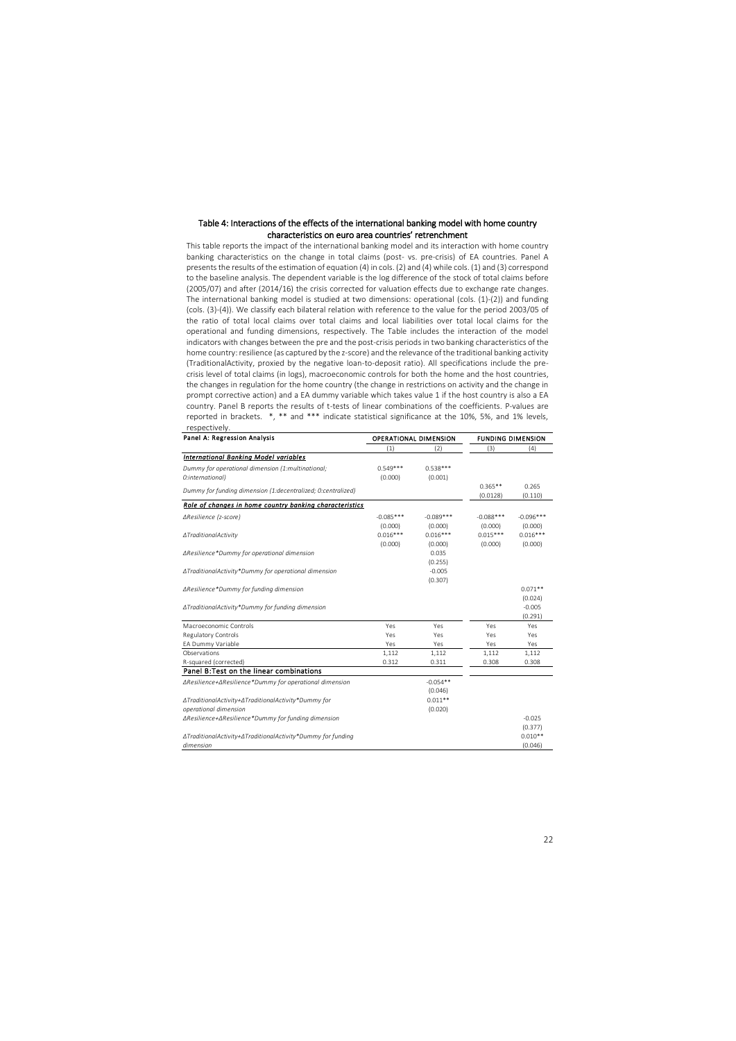### Table 4: Interactions of the effects of the international banking model with home country characteristics on euro area countries' retrenchment

This table reports the impact of the international banking model and its interaction with home country banking characteristics on the change in total claims (post- vs. pre-crisis) of EA countries. Panel A presents the results of the estimation of equation (4) in cols. (2) and (4) while cols. (1) and (3) correspond to the baseline analysis. The dependent variable is the log difference of the stock of total claims before (2005/07) and after (2014/16) the crisis corrected for valuation effects due to exchange rate changes. The international banking model is studied at two dimensions: operational (cols. (1)-(2)) and funding (cols. (3)-(4)). We classify each bilateral relation with reference to the value for the period 2003/05 of the ratio of total local claims over total claims and local liabilities over total local claims for the operational and funding dimensions, respectively. The Table includes the interaction of the model indicators with changes between the pre and the post-crisis periodsin two banking characteristics of the home country: resilience (as captured by the z-score) and the relevance of the traditional banking activity (TraditionalActivity, proxied by the negative loan-to-deposit ratio). All specifications include the precrisis level of total claims (in logs), macroeconomic controls for both the home and the host countries, the changes in regulation for the home country (the change in restrictions on activity and the change in prompt corrective action) and a EA dummy variable which takes value 1 if the host country is also a EA country. Panel B reports the results of t-tests of linear combinations of the coefficients. P-values are reported in brackets. \*, \*\* and \*\*\* indicate statistical significance at the 10%, 5%, and 1% levels, respectively.

| Panel A: Regression Analysis                                 |             | <b>OPERATIONAL DIMENSION</b> | <b>FUNDING DIMENSION</b> |             |  |
|--------------------------------------------------------------|-------------|------------------------------|--------------------------|-------------|--|
|                                                              | (1)         | (2)                          | (3)                      | (4)         |  |
| <b>International Banking Model variables</b>                 |             |                              |                          |             |  |
| Dummy for operational dimension (1:multinational;            | $0.549***$  | $0.538***$                   |                          |             |  |
| O:international)                                             | (0.000)     | (0.001)                      |                          |             |  |
| Dummy for funding dimension (1:decentralized; 0:centralized) |             |                              | $0.365**$                | 0.265       |  |
|                                                              |             |                              | (0.0128)                 | (0.110)     |  |
| Role of changes in home country banking characteristics      |             |                              |                          |             |  |
| $\triangle Resilience$ (z-score)                             | $-0.085***$ | $-0.089***$                  | $-0.088***$              | $-0.096***$ |  |
|                                                              | (0.000)     | (0.000)                      | (0.000)                  | (0.000)     |  |
| ∆TraditionalActivity                                         | $0.016***$  | $0.016***$                   | $0.015***$               | $0.016***$  |  |
|                                                              | (0.000)     | (0.000)                      | (0.000)                  | (0.000)     |  |
| ∆Resilience*Dummy for operational dimension                  |             | 0.035                        |                          |             |  |
|                                                              |             | (0.255)                      |                          |             |  |
| ∆TraditionalActivity*Dummy for operational dimension         |             | $-0.005$                     |                          |             |  |
|                                                              |             | (0.307)                      |                          |             |  |
| ∆Resilience*Dummy for funding dimension                      |             |                              |                          | $0.071**$   |  |
|                                                              |             |                              |                          | (0.024)     |  |
| ∆TraditionalActivity*Dummy for funding dimension             |             |                              |                          | $-0.005$    |  |
|                                                              |             |                              |                          | (0.291)     |  |
| Macroeconomic Controls                                       | Yes         | Yes                          | Yes                      | Yes         |  |
| <b>Regulatory Controls</b>                                   | Yes         | Yes                          | Yes                      | Yes         |  |
| EA Dummy Variable                                            | Yes         | Yes                          | Yes                      | Yes         |  |
| Observations                                                 | 1,112       | 1,112                        | 1,112                    | 1,112       |  |
| R-squared (corrected)                                        | 0.312       | 0.311                        | 0.308                    | 0.308       |  |
| Panel B: Test on the linear combinations                     |             |                              |                          |             |  |
| ∆Resilience+∆Resilience*Dummy for operational dimension      |             | $-0.054**$                   |                          |             |  |
|                                                              |             | (0.046)                      |                          |             |  |
| ∆TraditionalActivity+∆TraditionalActivity*Dummy for          |             | $0.011**$                    |                          |             |  |
| operational dimension                                        |             | (0.020)                      |                          |             |  |
| ∆Resilience+∆Resilience*Dummy for funding dimension          |             |                              |                          | $-0.025$    |  |
|                                                              |             |                              |                          | (0.377)     |  |
| ∆TraditionalActivity+∆TraditionalActivity*Dummy for funding  |             |                              |                          | $0.010**$   |  |
| dimension                                                    |             |                              |                          | (0.046)     |  |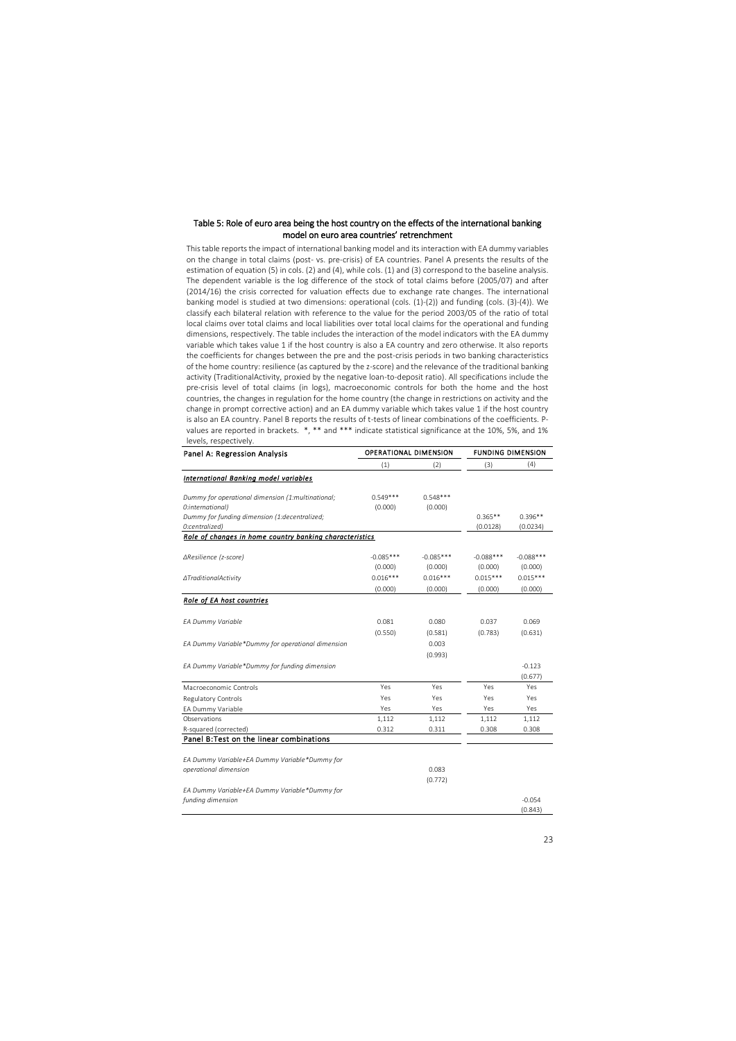### Table 5: Role of euro area being the host country on the effects of the international banking model on euro area countries' retrenchment

This table reports the impact of international banking model and its interaction with EA dummy variables on the change in total claims (post- vs. pre-crisis) of EA countries. Panel A presents the results of the estimation of equation (5) in cols. (2) and (4), while cols. (1) and (3) correspond to the baseline analysis. The dependent variable is the log difference of the stock of total claims before (2005/07) and after (2014/16) the crisis corrected for valuation effects due to exchange rate changes. The international banking model is studied at two dimensions: operational (cols. (1)-(2)) and funding (cols. (3)-(4)). We classify each bilateral relation with reference to the value for the period 2003/05 of the ratio of total local claims over total claims and local liabilities over total local claims for the operational and funding dimensions, respectively. The table includes the interaction of the model indicators with the EA dummy variable which takes value 1 if the host country is also a EA country and zero otherwise. It also reports the coefficients for changes between the pre and the post-crisis periods in two banking characteristics of the home country: resilience (as captured by the z-score) and the relevance of the traditional banking activity (TraditionalActivity, proxied by the negative loan-to-deposit ratio). All specifications include the pre-crisis level of total claims (in logs), macroeconomic controls for both the home and the host countries, the changes in regulation for the home country (the change in restrictions on activity and the change in prompt corrective action) and an EA dummy variable which takes value 1 if the host country is also an EA country. Panel B reports the results of t-tests of linear combinations of the coefficients. Pvalues are reported in brackets. \*, \*\* and \*\*\* indicate statistical significance at the 10%, 5%, and 1% levels, respectively.

| Panel A: Regression Analysis                                    | <b>OPERATIONAL DIMENSION</b> |             | <b>FUNDING DIMENSION</b> |                       |  |
|-----------------------------------------------------------------|------------------------------|-------------|--------------------------|-----------------------|--|
|                                                                 | (1)                          | (2)         | (3)                      | (4)                   |  |
| <b>International Banking model variables</b>                    |                              |             |                          |                       |  |
| Dummy for operational dimension (1:multinational;               | $0.549***$                   | $0.548***$  |                          |                       |  |
| O:international)                                                | (0.000)                      | (0.000)     |                          |                       |  |
| Dummy for funding dimension (1:decentralized;<br>O:centralized) |                              |             | $0.365**$<br>(0.0128)    | $0.396**$<br>(0.0234) |  |
| Role of changes in home country banking characteristics         |                              |             |                          |                       |  |
| ∆Resilience (z-score)                                           | $-0.085***$                  | $-0.085***$ | $-0.088***$              | $-0.088***$           |  |
|                                                                 | (0.000)                      | (0.000)     | (0.000)                  | (0.000)               |  |
| ∆TraditionalActivity                                            | $0.016***$                   | $0.016***$  | $0.015***$               | $0.015***$            |  |
|                                                                 | (0.000)                      | (0.000)     | (0.000)                  | (0.000)               |  |
| <b>Role of EA host countries</b>                                |                              |             |                          |                       |  |
| EA Dummy Variable                                               | 0.081                        | 0.080       | 0.037                    | 0.069                 |  |
|                                                                 | (0.550)                      | (0.581)     | (0.783)                  | (0.631)               |  |
| EA Dummy Variable*Dummy for operational dimension               |                              | 0.003       |                          |                       |  |
|                                                                 |                              | (0.993)     |                          |                       |  |
| EA Dummy Variable*Dummy for funding dimension                   |                              |             |                          | $-0.123$              |  |
|                                                                 |                              |             |                          | (0.677)               |  |
| Macroeconomic Controls                                          | Yes                          | Yes         | Yes                      | Yes                   |  |
| Regulatory Controls                                             | Yes                          | Yes         | Yes                      | Yes                   |  |
| EA Dummy Variable                                               | Yes                          | Yes         | Yes                      | Yes                   |  |
| Observations                                                    | 1,112                        | 1,112       | 1,112                    | 1,112                 |  |
| R-squared (corrected)                                           | 0.312                        | 0.311       | 0.308                    | 0.308                 |  |
| Panel B: Test on the linear combinations                        |                              |             |                          |                       |  |
|                                                                 |                              |             |                          |                       |  |
| EA Dummy Variable+EA Dummy Variable*Dummy for                   |                              |             |                          |                       |  |
| operational dimension                                           |                              | 0.083       |                          |                       |  |
|                                                                 |                              | (0.772)     |                          |                       |  |
| EA Dummy Variable+EA Dummy Variable*Dummy for                   |                              |             |                          |                       |  |
| funding dimension                                               |                              |             |                          | $-0.054$              |  |
|                                                                 |                              |             |                          | (0.843)               |  |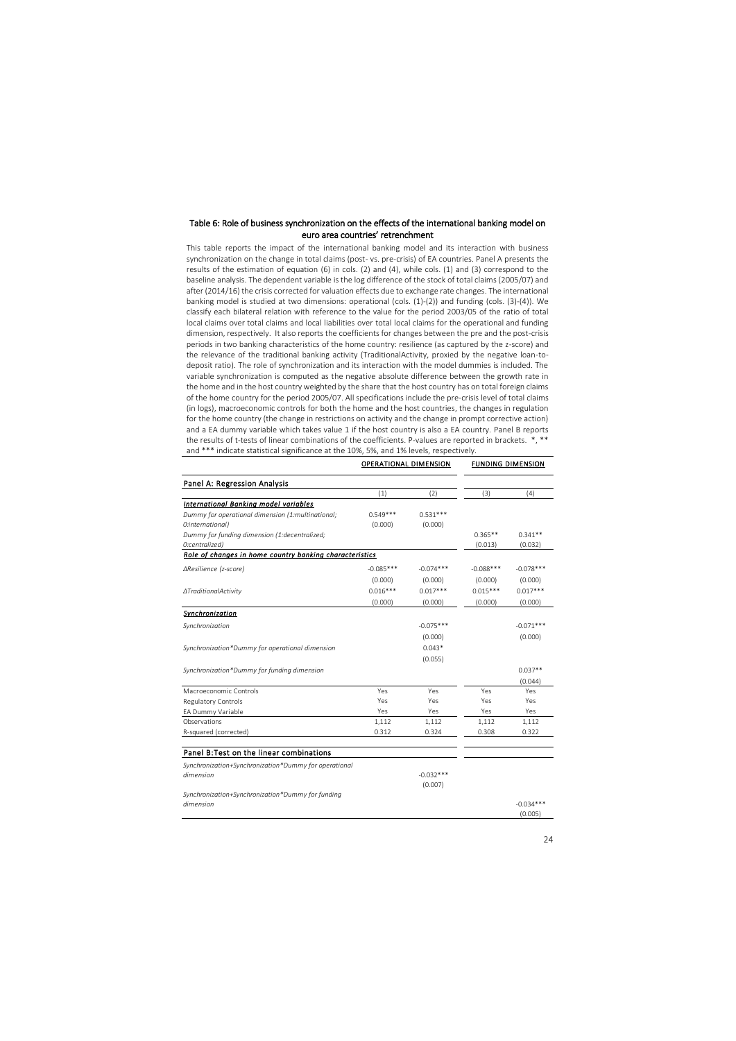### Table 6: Role of business synchronization on the effects of the international banking model on euro area countries' retrenchment

This table reports the impact of the international banking model and its interaction with business synchronization on the change in total claims (post- vs. pre-crisis) of EA countries. Panel A presents the results of the estimation of equation (6) in cols. (2) and (4), while cols. (1) and (3) correspond to the baseline analysis. The dependent variable is the log difference of the stock of total claims (2005/07) and after (2014/16) the crisis corrected for valuation effects due to exchange rate changes. The international banking model is studied at two dimensions: operational (cols. (1)-(2)) and funding (cols. (3)-(4)). We classify each bilateral relation with reference to the value for the period 2003/05 of the ratio of total local claims over total claims and local liabilities over total local claims for the operational and funding dimension, respectively. It also reports the coefficients for changes between the pre and the post-crisis periods in two banking characteristics of the home country: resilience (as captured by the z-score) and the relevance of the traditional banking activity (TraditionalActivity, proxied by the negative loan-todeposit ratio). The role of synchronization and its interaction with the model dummies is included. The variable synchronization is computed as the negative absolute difference between the growth rate in the home and in the host country weighted by the share that the host country has on total foreign claims of the home country for the period 2005/07. All specifications include the pre-crisis level of total claims (in logs), macroeconomic controls for both the home and the host countries, the changes in regulation for the home country (the change in restrictions on activity and the change in prompt corrective action) and a EA dummy variable which takes value 1 if the host country is also a EA country. Panel B reports the results of t-tests of linear combinations of the coefficients. P-values are reported in brackets. \*, \*\* and \*\*\* indicate statistical significance at the 10%, 5%, and 1% levels, respectively.

|                                                         | <b>OPERATIONAL DIMENSION</b> |             | <b>FUNDING DIMENSION</b> |             |  |
|---------------------------------------------------------|------------------------------|-------------|--------------------------|-------------|--|
| Panel A: Regression Analysis                            |                              |             |                          |             |  |
|                                                         | (1)                          | (2)         | (3)                      | (4)         |  |
| <b>International Banking model variables</b>            |                              |             |                          |             |  |
| Dummy for operational dimension (1:multinational;       | $0.549***$                   | $0.531***$  |                          |             |  |
| O:international)                                        | (0.000)                      | (0.000)     |                          |             |  |
| Dummy for funding dimension (1:decentralized;           |                              |             | $0.365**$                | $0.341**$   |  |
| 0:centralized)                                          |                              |             | (0.013)                  | (0.032)     |  |
| Role of changes in home country banking characteristics |                              |             |                          |             |  |
| ∆Resilience (z-score)                                   | $-0.085***$                  | $-0.074***$ | $-0.088***$              | $-0.078***$ |  |
|                                                         | (0.000)                      | (0.000)     | (0.000)                  | (0.000)     |  |
| ∆TraditionalActivity                                    | $0.016***$                   | $0.017***$  | $0.015***$               | $0.017***$  |  |
|                                                         | (0.000)                      | (0.000)     | (0.000)                  | (0.000)     |  |
| Synchronization                                         |                              |             |                          |             |  |
| Synchronization                                         |                              | $-0.075***$ |                          | $-0.071***$ |  |
|                                                         |                              | (0.000)     |                          | (0.000)     |  |
| Synchronization*Dummy for operational dimension         |                              | $0.043*$    |                          |             |  |
|                                                         |                              | (0.055)     |                          |             |  |
| Synchronization*Dummy for funding dimension             |                              |             |                          | $0.037**$   |  |
|                                                         |                              |             |                          | (0.044)     |  |
| Macroeconomic Controls                                  | Yes                          | Yes         | Yes                      | Yes         |  |
| Regulatory Controls                                     | Yes                          | Yes         | Yes                      | Yes         |  |
| EA Dummy Variable                                       | Yes                          | Yes         | Yes                      | Yes         |  |
| Observations                                            | 1,112                        | 1,112       | 1,112                    | 1,112       |  |
| R-squared (corrected)                                   | 0.312                        | 0.324       | 0.308                    | 0.322       |  |
|                                                         |                              |             |                          |             |  |
| Panel B: Test on the linear combinations                |                              |             |                          |             |  |
| Synchronization+Synchronization*Dummy for operational   |                              |             |                          |             |  |
| dimension                                               |                              | $-0.032***$ |                          |             |  |
|                                                         |                              | (0.007)     |                          |             |  |
| Synchronization+Synchronization*Dummy for funding       |                              |             |                          |             |  |
| dimension                                               |                              |             |                          | $-0.034***$ |  |
|                                                         |                              |             |                          | (0.005)     |  |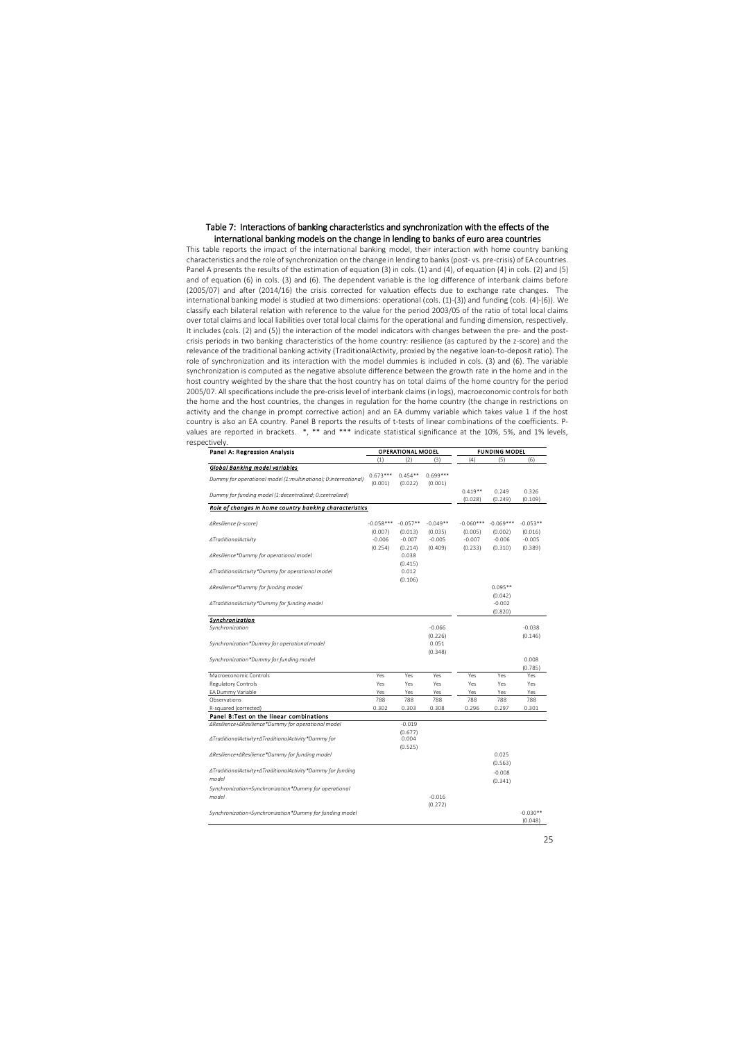#### Table 7: Interactions of banking characteristics and synchronization with the effects of the international banking models on the change in lending to banks of euro area countries

This table reports the impact of the international banking model, their interaction with home country banking characteristics and the role of synchronization on the change in lending to banks (post- vs. pre-crisis) of EA countries. Panel A presents the results of the estimation of equation (3) in cols. (1) and (4), of equation (4) in cols. (2) and (5) and of equation (6) in cols. (3) and (6). The dependent variable is the log difference of interbank claims before (2005/07) and after (2014/16) the crisis corrected for valuation effects due to exchange rate changes. The international banking model is studied at two dimensions: operational (cols. (1)-(3)) and funding (cols. (4)-(6)). We classify each bilateral relation with reference to the value for the period 2003/05 of the ratio of total local claims over total claims and local liabilities over total local claims for the operational and funding dimension, respectively. It includes (cols. (2) and (5)) the interaction of the model indicators with changes between the pre- and the postcrisis periods in two banking characteristics of the home country: resilience (as captured by the z-score) and the relevance of the traditional banking activity (TraditionalActivity, proxied by the negative loan-to-deposit ratio). The role of synchronization and its interaction with the model dummies is included in cols. (3) and (6). The variable synchronization is computed as the negative absolute difference between the growth rate in the home and in the host country weighted by the share that the host country has on total claims of the home country for the period 2005/07. All specifications include the pre-crisis level of interbank claims (in logs), macroeconomic controls for both the home and the host countries, the changes in regulation for the home country (the change in restrictions on activity and the change in prompt corrective action) and an EA dummy variable which takes value 1 if the host country is also an EA country. Panel B reports the results of t-tests of linear combinations of the coefficients. Pvalues are reported in brackets. \*, \*\* and \*\*\* indicate statistical significance at the 10%, 5%, and 1% levels, respectively.

| Panel A: Regression Analysis                                   | <b>OPERATIONAL MODEL</b> |                       |                       | FUNDING MODEL          |                        |                       |  |
|----------------------------------------------------------------|--------------------------|-----------------------|-----------------------|------------------------|------------------------|-----------------------|--|
|                                                                | (1)                      | (2)                   | (3)                   | (4)                    | (5)                    | (6)                   |  |
| Global Banking model variables                                 |                          |                       |                       |                        |                        |                       |  |
| Dummy for operational model (1:multinational; 0:international) | $0.673***$<br>(0.001)    | $0.454**$<br>(0.022)  | $0.699***$<br>(0.001) |                        |                        |                       |  |
| Dummy for funding model (1:decentralized; 0:centralized)       |                          |                       |                       | $0.419**$<br>(0.028)   | 0.249<br>(0.249)       | 0.326<br>(0.109)      |  |
| Role of changes in home country banking characteristics        |                          |                       |                       |                        |                        |                       |  |
| ∆Resilience (z-score)                                          | $-0.058***$<br>(0.007)   | $-0.057**$<br>(0.013) | $-0.049**$<br>(0.035) | $-0.060***$<br>(0.005) | $-0.069***$<br>(0.002) | $-0.053**$<br>(0.016) |  |
| ∆TraditionalActivity                                           | $-0.006$<br>(0.254)      | $-0.007$<br>(0.214)   | $-0.005$<br>(0.409)   | $-0.007$<br>(0.233)    | $-0.006$<br>(0.310)    | $-0.005$<br>(0.389)   |  |
| ∆Resilience*Dummy for operational model                        |                          | 0.038<br>(0.415)      |                       |                        |                        |                       |  |
| ∆TraditionalActivity*Dummy for operational model               |                          | 0.012<br>(0.106)      |                       |                        |                        |                       |  |
| ∆Resilience*Dummy for funding model                            |                          |                       |                       |                        | $0.095**$<br>(0.042)   |                       |  |
| ∆TraditionalActivity*Dummy for funding model                   |                          |                       |                       |                        | $-0.002$<br>(0.820)    |                       |  |
| Synchronization                                                |                          |                       |                       |                        |                        |                       |  |
| Synchronization                                                |                          |                       | $-0.066$              |                        |                        | $-0.038$              |  |
|                                                                |                          |                       | (0.226)               |                        |                        | (0.146)               |  |
| Synchronization*Dummy for operational model                    |                          |                       | 0.051                 |                        |                        |                       |  |
|                                                                |                          |                       | (0.348)               |                        |                        |                       |  |
| Synchronization*Dummy for funding model                        |                          |                       |                       |                        |                        | 0.008<br>(0.785)      |  |
| Macroeconomic Controls                                         | Yes                      | Yes                   | Yes                   | Yes                    | Yes                    | Yes                   |  |
| Regulatory Controls                                            | Yes                      | Yes                   | Yes                   | Yes                    | Yes                    | Yes                   |  |
| EA Dummy Variable                                              | Yes                      | Yes                   | Yes                   | Yes                    | Yes                    | Yes                   |  |
| Observations                                                   | 788                      | 788                   | 788                   | 788                    | 788                    | 788                   |  |
| R-squared (corrected)                                          | 0.302                    | 0.303                 | 0.308                 | 0.296                  | 0.297                  | 0.301                 |  |
| Panel B:Test on the linear combinations                        |                          |                       |                       |                        |                        |                       |  |
| ∆Resilience+∆Resilience*Dummy for operational model            |                          | $-0.019$              |                       |                        |                        |                       |  |
| ∆TraditionalActivity+∆TraditionalActivity*Dummy for            |                          | (0.677)<br>0.004      |                       |                        |                        |                       |  |
| ∆Resilience+∆Resilience*Dummy for funding model                |                          | (0.525)               |                       |                        | 0.025                  |                       |  |
| ∆TraditionalActivity+∆TraditionalActivity*Dummy for funding    |                          |                       |                       |                        | (0.563)<br>$-0.008$    |                       |  |
| model                                                          |                          |                       |                       |                        | (0.341)                |                       |  |
| Synchronization+Synchronization*Dummy for operational          |                          |                       |                       |                        |                        |                       |  |
| model                                                          |                          |                       | $-0.016$              |                        |                        |                       |  |
|                                                                |                          |                       | (0.272)               |                        |                        | $-0.030**$            |  |
| Synchronization+Synchronization*Dummy for funding model        |                          |                       |                       |                        |                        | (0.048)               |  |
|                                                                |                          |                       |                       |                        |                        |                       |  |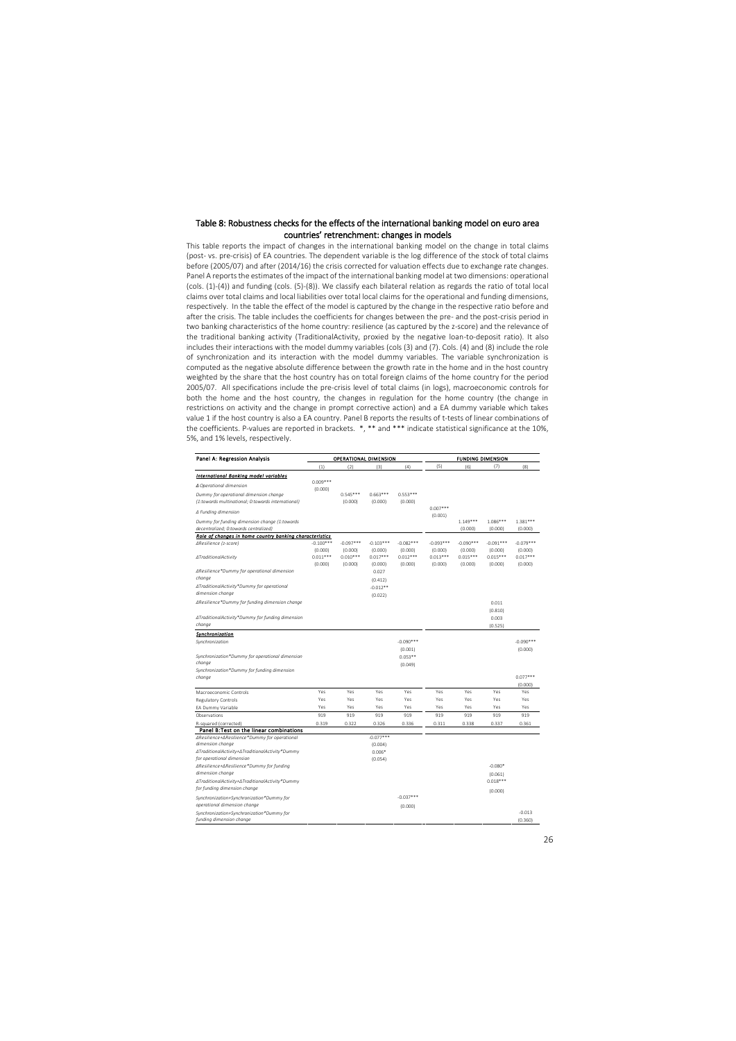#### Table 8: Robustness checks for the effects of the international banking model on euro area countries' retrenchment: changes in models

This table reports the impact of changes in the international banking model on the change in total claims (post- vs. pre-crisis) of EA countries. The dependent variable is the log difference of the stock of total claims before (2005/07) and after (2014/16) the crisis corrected for valuation effects due to exchange rate changes. Panel A reports the estimates of the impact of the international banking model at two dimensions: operational (cols. (1)-(4)) and funding (cols. (5)-(8)). We classify each bilateral relation as regards the ratio of total local claims over total claims and local liabilities over total local claims for the operational and funding dimensions, respectively. In the table the effect of the model is captured by the change in the respective ratio before and after the crisis. The table includes the coefficients for changes between the pre- and the post-crisis period in two banking characteristics of the home country: resilience (as captured by the z-score) and the relevance of the traditional banking activity (TraditionalActivity, proxied by the negative loan-to-deposit ratio). It also includes their interactions with the model dummy variables (cols (3) and (7). Cols. (4) and (8) include the role of synchronization and its interaction with the model dummy variables. The variable synchronization is computed as the negative absolute difference between the growth rate in the home and in the host country weighted by the share that the host country has on total foreign claims of the home country for the period 2005/07. All specifications include the pre-crisis level of total claims (in logs), macroeconomic controls for both the home and the host country, the changes in regulation for the home country (the change in restrictions on activity and the change in prompt corrective action) and a EA dummy variable which takes value 1 if the host country is also a EA country. Panel B reports the results of t-tests of linear combinations of the coefficients. P-values are reported in brackets. \*, \*\* and \*\*\* indicate statistical significance at the 10%, 5%, and 1% levels, respectively.

| Panel A: Regression Analysis                                   |             |             | OPERATIONAL DIMENSION |             | <b>FUNDING DIMENSION</b> |             |             |                |
|----------------------------------------------------------------|-------------|-------------|-----------------------|-------------|--------------------------|-------------|-------------|----------------|
|                                                                | (1)         | (2)         | (3)                   | (4)         | (5)                      | (6)         | (7)         | (8)            |
| International Banking model variables                          |             |             |                       |             |                          |             |             |                |
| ∆ Operational dimension                                        | $0.009***$  |             |                       |             |                          |             |             |                |
| Dummy for operational dimension change                         | (0.000)     | $0.545***$  | $0.663***$            | $0.553***$  |                          |             |             |                |
| (1:towards multinational; 0:towards international)             |             | (0.000)     | (0.000)               | (0.000)     |                          |             |             |                |
| ∆ Funding dimension                                            |             |             |                       |             | $0.007***$<br>(0.001)    |             |             |                |
| Dummy for funding dimension change (1:towards                  |             |             |                       |             |                          | $1.149***$  | $1.086***$  | $1.381***$     |
| decentralized; 0:towards centralized)                          |             |             |                       |             |                          | (0.000)     | (0.000)     | (0.000)        |
| Role of changes in home country banking characteristics        |             |             |                       |             |                          |             |             |                |
| ∆Resilience (z-score)                                          | $-0.100***$ | $-0.097***$ | $-0.103***$           | $-0.082***$ | $-0.093***$              | $-0.090***$ | $-0.091***$ | $-0.079***$    |
|                                                                | (0.000)     | (0.000)     | (0.000)               | (0.000)     | (0.000)                  | (0.000)     | (0.000)     | (0.000)        |
| ∆TraditionalActivity                                           | $0.011***$  | $0.010***$  | $0.017***$            | $0.012***$  | $0.013***$               | $0.015***$  | $0.015***$  | $0.017***$     |
|                                                                | (0.000)     | (0.000)     | (0.000)               | (0.000)     | (0.000)                  | (0.000)     | (0.000)     | (0.000)        |
| ∆Resilience*Dummy for operational dimension<br>change          |             |             | 0.027                 |             |                          |             |             |                |
|                                                                |             |             | (0.412)               |             |                          |             |             |                |
| ∆TraditionalActivity*Dummy for operational<br>dimension change |             |             | $-0.012**$            |             |                          |             |             |                |
|                                                                |             |             | (0.022)               |             |                          |             |             |                |
| ∆Resilience*Dummy for funding dimension change                 |             |             |                       |             |                          |             | 0.011       |                |
|                                                                |             |             |                       |             |                          |             | (0.810)     |                |
| ∆TraditionalActivity*Dummy for funding dimension               |             |             |                       |             |                          |             | 0.003       |                |
| change                                                         |             |             |                       |             |                          |             | (0.525)     |                |
| Synchronization                                                |             |             |                       |             |                          |             |             |                |
| Synchronization                                                |             |             |                       | $-0.090***$ |                          |             |             | $-0.090***$    |
|                                                                |             |             |                       | (0.001)     |                          |             |             | (0.000)        |
| Synchronization*Dummy for operational dimension                |             |             |                       | $0.053**$   |                          |             |             |                |
| change                                                         |             |             |                       | (0.049)     |                          |             |             |                |
| Synchronization*Dummy for funding dimension                    |             |             |                       |             |                          |             |             |                |
| change                                                         |             |             |                       |             |                          |             |             | $0.077***$     |
| Macroeconomic Controls                                         | Yes         | Yes         | Yes                   | Yes         | Yes                      | Yes         | Yes         | (0.000)<br>Yes |
| <b>Regulatory Controls</b>                                     | Yes         | Yes         | Yes                   | Yes         | Yes                      | Yes         | Yes         | Yes            |
| EA Dummy Variable                                              | Yes         | Yes         | Yes                   | Yes         | Yes                      | Yes         | Yes         | Yes            |
| Observations                                                   | 919         | 919         | 919                   | 919         | 919                      | 919         | 919         | 919            |
| R-squared (corrected)                                          | 0.319       | 0.322       | 0.326                 | 0.336       | 0.311                    | 0.338       | 0.337       | 0.361          |
| Panel B:Test on the linear combinations                        |             |             |                       |             |                          |             |             |                |
| ∆Resilience+∆Resilience*Dummy for operational                  |             |             | $-0.077***$           |             |                          |             |             |                |
| dimension change                                               |             |             | (0.004)               |             |                          |             |             |                |
| ∆TraditionalActivity+∆TraditionalActivity*Dummy                |             |             | $0.006*$              |             |                          |             |             |                |
| for operational dimension                                      |             |             | (0.054)               |             |                          |             |             |                |
| ∆Resilience+∆Resilience*Dummy for funding                      |             |             |                       |             |                          |             | $-0.080*$   |                |
| dimension change                                               |             |             |                       |             |                          |             | (0.061)     |                |
| ∆TraditionalActivity+∆TraditionalActivity*Dummy                |             |             |                       |             |                          |             | $0.018***$  |                |
| for funding dimension change                                   |             |             |                       |             |                          |             | (0.000)     |                |
| Synchronization+Synchronization*Dummy for                      |             |             |                       | $-0.037***$ |                          |             |             |                |
| operational dimension change                                   |             |             |                       | (0.000)     |                          |             |             |                |
| Synchronization+Synchronization*Dummy for                      |             |             |                       |             |                          |             |             | $-0.013$       |
| funding dimension change                                       |             |             |                       |             |                          |             |             | (0.360)        |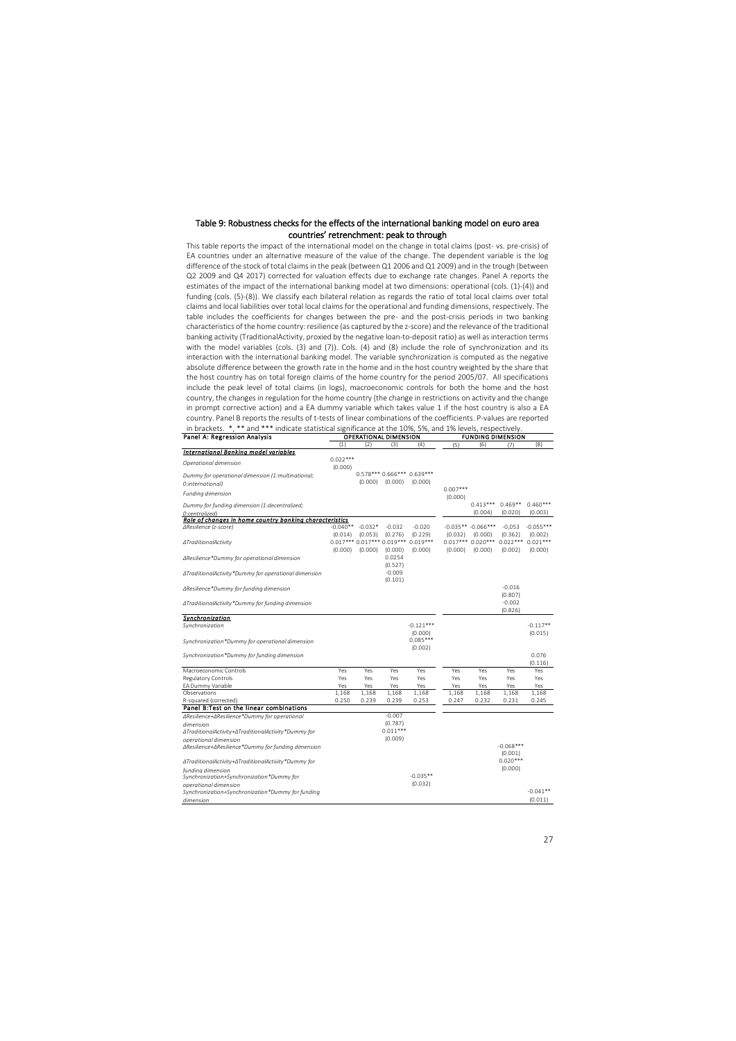#### Table 9: Robustness checks for the effects of the international banking model on euro area countries' retrenchment: peak to through

This table reports the impact of the international model on the change in total claims (post- vs. pre-crisis) of EA countries under an alternative measure of the value of the change. The dependent variable is the log difference of the stock of total claims in the peak (between Q1 2006 and Q1 2009) and in the trough (between Q2 2009 and Q4 2017) corrected for valuation effects due to exchange rate changes. Panel A reports the estimates of the impact of the international banking model at two dimensions: operational (cols. (1)-(4)) and funding (cols. (5)-(8)). We classify each bilateral relation as regards the ratio of total local claims over total claims and local liabilities over total local claims for the operational and funding dimensions, respectively. The table includes the coefficients for changes between the pre- and the post-crisis periods in two banking characteristics of the home country: resilience (as captured by the z-score) and the relevance of the traditional banking activity (TraditionalActivity, proxied by the negative loan-to-deposit ratio) as well as interaction terms with the model variables (cols. (3) and (7)). Cols. (4) and (8) include the role of synchronization and its interaction with the international banking model. The variable synchronization is computed as the negative absolute difference between the growth rate in the home and in the host country weighted by the share that the host country has on total foreign claims of the home country for the period 2005/07. All specifications include the peak level of total claims (in logs), macroeconomic controls for both the home and the host country, the changes in regulation for the home country (the change in restrictions on activity and the change in prompt corrective action) and a EA dummy variable which takes value 1 if the host country is also a EA country. Panel B reports the results of t-tests of linear combinations of the coefficients. P-values are reported in brackets. \*, \*\* and \*\*\* indicate statistical significance at the 10%, 5%, and 1% levels, respectively.

| Panel A: Regression Analysis                            | <b>OPERATIONAL DIMENSION</b> |                                 |                                       |                                         | <b>FUNDING DIMENSION</b> |                                 |                        |                        |
|---------------------------------------------------------|------------------------------|---------------------------------|---------------------------------------|-----------------------------------------|--------------------------|---------------------------------|------------------------|------------------------|
|                                                         | (1)                          | (2)                             | (3)                                   | (4)                                     | (5)                      | (6)                             | (7)                    | (8)                    |
| International Banking model variables                   |                              |                                 |                                       |                                         |                          |                                 |                        |                        |
| Operational dimension                                   | $0.022***$<br>(0.000)        |                                 |                                       |                                         |                          |                                 |                        |                        |
| Dummy for operational dimension (1:multinational;       |                              | (0.000)                         | (0.000)                               | $0.578***$ 0.666*** 0.639***<br>(0.000) |                          |                                 |                        |                        |
| O:international)<br>Funding dimension                   |                              |                                 |                                       |                                         | $0.007***$               |                                 |                        |                        |
| Dummy for funding dimension (1:decentralized;           |                              |                                 |                                       |                                         | (0.000)                  | $0.413***$                      | $0.469**$              | $0.460***$             |
| O:centralized)                                          |                              |                                 |                                       |                                         |                          | (0.004)                         | (0.020)                | (0.003)                |
| Role of changes in home country banking characteristics |                              |                                 |                                       |                                         |                          |                                 |                        |                        |
| ∆Resilience (z-score)                                   | (0.014)                      | $-0.040**$ $-0.032*$<br>(0.053) | $-0.032$<br>(0.276)                   | $-0.020$<br>(0.229)                     | (0.032)                  | $-0.035** -0.066***$<br>(0.000) | $-0,053$<br>(0.362)    | $-0.055***$<br>(0.002) |
| ∆TraditionalActivity                                    | (0.000)                      | (0.000)                         | 0.017*** 0.017*** 0.019***<br>(0.000) | $0.019***$<br>(0.000)                   | $0.017***$<br>(0.000)    | $0.020***$<br>(0.000)           | $0.022***$<br>(0.002)  | $0.021***$<br>(0.000)  |
| ∆Resilience*Dummy for operational dimension             |                              |                                 | 0.0254<br>(0.527)                     |                                         |                          |                                 |                        |                        |
| ∆TraditionalActivity*Dummy for operational dimension    |                              |                                 | $-0.009$<br>(0.101)                   |                                         |                          |                                 |                        |                        |
| ∆Resilience*Dummy for funding dimension                 |                              |                                 |                                       |                                         |                          |                                 | $-0.016$<br>(0.807)    |                        |
| ∆TraditionalActivity*Dummy for funding dimension        |                              |                                 |                                       |                                         |                          |                                 | $-0.002$<br>(0.826)    |                        |
| <b>Synchronization</b>                                  |                              |                                 |                                       |                                         |                          |                                 |                        |                        |
| Synchronization                                         |                              |                                 |                                       | $-0.121***$<br>(0.000)                  |                          |                                 |                        | $-0.117**$<br>(0.015)  |
| Synchronization*Dummy for operational dimension         |                              |                                 |                                       | $0.085***$<br>(0.002)                   |                          |                                 |                        |                        |
| Synchronization*Dummy for funding dimension             |                              |                                 |                                       |                                         |                          |                                 |                        | 0.076<br>(0.116)       |
| Macroeconomic Controls                                  | Yes                          | Yes                             | Yes                                   | Yes                                     | Yes                      | Yes                             | Yes                    | Yes                    |
| Regulatory Controls                                     | Yes                          | Yes                             | Yes                                   | Yes                                     | Yes                      | Yes                             | Yes                    | Yes                    |
| EA Dummy Variable                                       | Yes                          | Yes                             | Yes                                   | Yes                                     | Yes                      | Yes                             | Yes                    | Yes                    |
| Observations                                            | 1,168                        | 1,168                           | 1,168                                 | 1,168                                   | 1,168                    | 1,168                           | 1,168                  | 1,168                  |
| R-squared (corrected)                                   | 0.250                        | 0.239                           | 0.239                                 | 0.253                                   | 0.247                    | 0.232                           | 0.231                  | 0.245                  |
| Panel B: Test on the linear combinations                |                              |                                 |                                       |                                         |                          |                                 |                        |                        |
| ΔResilience+ΔResilience*Dummy for operational           |                              |                                 | $-0.007$                              |                                         |                          |                                 |                        |                        |
| dimension                                               |                              |                                 | (0.787)                               |                                         |                          |                                 |                        |                        |
| ∆TraditionalActivity+∆TraditionalActivity*Dummy for     |                              |                                 | $0.011***$                            |                                         |                          |                                 |                        |                        |
| operational dimension                                   |                              |                                 | (0.009)                               |                                         |                          |                                 |                        |                        |
| ΔResilience+ΔResilience*Dummy for funding dimension     |                              |                                 |                                       |                                         |                          |                                 | $-0.068***$<br>(0.001) |                        |
| ∆TraditionalActivity+∆TraditionalActivity*Dummy for     |                              |                                 |                                       |                                         |                          |                                 | $0.020***$             |                        |
| funding dimension                                       |                              |                                 |                                       |                                         |                          |                                 | (0.000)                |                        |
| Synchronization+Synchronization*Dummy for               |                              |                                 |                                       | $-0.035**$                              |                          |                                 |                        |                        |
| operational dimension                                   |                              |                                 |                                       | (0.032)                                 |                          |                                 |                        | $-0.041**$             |
| Synchronization+Synchronization*Dummy for funding       |                              |                                 |                                       |                                         |                          |                                 |                        | (0.011)                |
| dimension                                               |                              |                                 |                                       |                                         |                          |                                 |                        |                        |